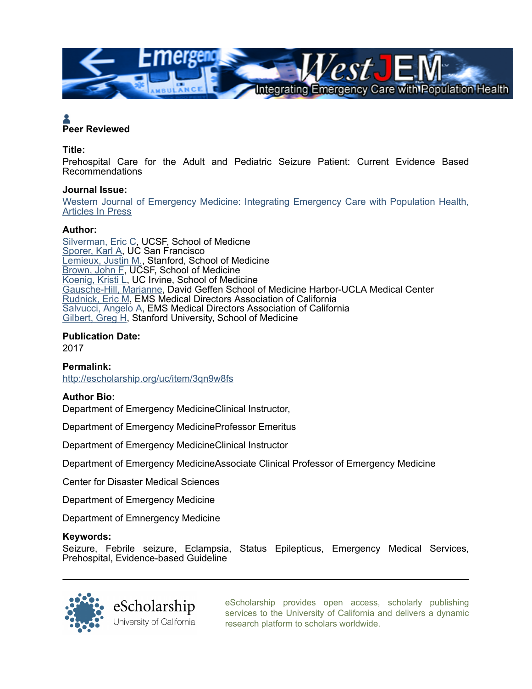

# **Peer Reviewed**

**Title:**

Prehospital Care for the Adult and Pediatric Seizure Patient: Current Evidence Based Recommendations

#### **Journal Issue:**

[Western Journal of Emergency Medicine: Integrating Emergency Care with Population Health,](http://escholarship.org/uc/uciem_westjem?volume=0;issue=0) [Articles In Press](http://escholarship.org/uc/uciem_westjem?volume=0;issue=0)

#### **Author:**

[Silverman, Eric C,](http://escholarship.org/uc/search?creator=Silverman%2C%20Eric%20C) UCSF, School of Medicne [Sporer, Karl A](http://escholarship.org/uc/search?creator=Sporer%2C%20Karl%20A), UC San Francisco [Lemieux, Justin M.,](http://escholarship.org/uc/search?creator=Lemieux%2C%20Justin%20M.) Stanford, School of Medicine [Brown, John F,](http://escholarship.org/uc/search?creator=Brown%2C%20John%20F) UCSF, School of Medicine [Koenig, Kristi L,](http://escholarship.org/uc/search?creator=Koenig%2C%20Kristi%20L) UC Irvine, School of Medicine [Gausche-Hill, Marianne,](http://escholarship.org/uc/search?creator=Gausche-Hill%2C%20Marianne) David Geffen School of Medicine Harbor-UCLA Medical Center [Rudnick, Eric M,](http://escholarship.org/uc/search?creator=Rudnick%2C%20Eric%20M) EMS Medical Directors Association of California [Salvucci, Angelo A,](http://escholarship.org/uc/search?creator=Salvucci%2C%20Angelo%20A) EMS Medical Directors Association of California [Gilbert, Greg H,](http://escholarship.org/uc/search?creator=Gilbert%2C%20Greg%20H) Stanford University, School of Medicine

## **Publication Date:**

2017

#### **Permalink:**

<http://escholarship.org/uc/item/3qn9w8fs>

#### **Author Bio:**

Department of Emergency MedicineClinical Instructor,

Department of Emergency MedicineProfessor Emeritus

Department of Emergency MedicineClinical Instructor

Department of Emergency MedicineAssociate Clinical Professor of Emergency Medicine

Center for Disaster Medical Sciences

Department of Emergency Medicine

Department of Emnergency Medicine

#### **Keywords:**

Seizure, Febrile seizure, Eclampsia, Status Epilepticus, Emergency Medical Services, Prehospital, Evidence-based Guideline



[eScholarship provides open access, scholarly publishing](http://escholarship.org) [services to the University of California and delivers a dynamic](http://escholarship.org) [research platform to scholars worldwide.](http://escholarship.org)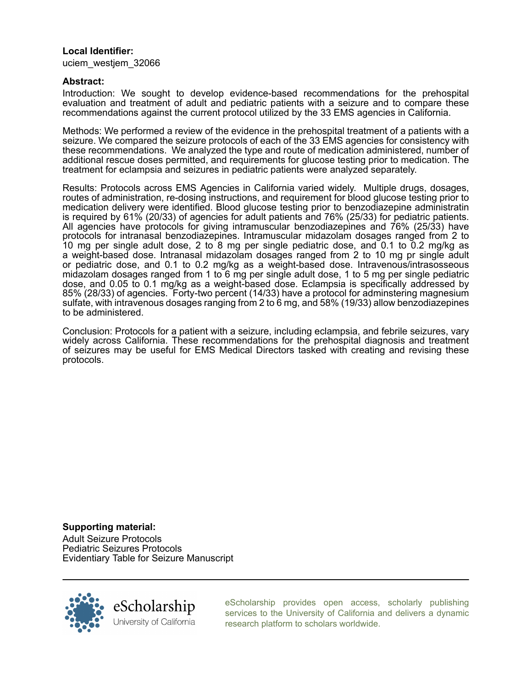#### **Local Identifier:**

uciem\_westjem\_32066

#### **Abstract:**

Introduction: We sought to develop evidence-based recommendations for the prehospital evaluation and treatment of adult and pediatric patients with a seizure and to compare these recommendations against the current protocol utilized by the 33 EMS agencies in California.

Methods: We performed a review of the evidence in the prehospital treatment of a patients with a seizure. We compared the seizure protocols of each of the 33 EMS agencies for consistency with these recommendations. We analyzed the type and route of medication administered, number of additional rescue doses permitted, and requirements for glucose testing prior to medication. The treatment for eclampsia and seizures in pediatric patients were analyzed separately.

Results: Protocols across EMS Agencies in California varied widely. Multiple drugs, dosages, routes of administration, re-dosing instructions, and requirement for blood glucose testing prior to medication delivery were identified. Blood glucose testing prior to benzodiazepine administratin is required by 61% (20/33) of agencies for adult patients and 76% (25/33) for pediatric patients. All agencies have protocols for giving intramuscular benzodiazepines and 76% (25/33) have protocols for intranasal benzodiazepines. Intramuscular midazolam dosages ranged from 2 to 10 mg per single adult dose, 2 to 8 mg per single pediatric dose, and 0.1 to 0.2 mg/kg as a weight-based dose. Intranasal midazolam dosages ranged from 2 to 10 mg pr single adult or pediatric dose, and 0.1 to 0.2 mg/kg as a weight-based dose. Intravenous/intrasosseous midazolam dosages ranged from 1 to 6 mg per single adult dose, 1 to 5 mg per single pediatric dose, and 0.05 to 0.1 mg/kg as a weight-based dose. Eclampsia is specifically addressed by 85% (28/33) of agencies. Forty-two percent (14/33) have a protocol for adminstering magnesium sulfate, with intravenous dosages ranging from 2 to 6 mg, and 58% (19/33) allow benzodiazepines to be administered.

Conclusion: Protocols for a patient with a seizure, including eclampsia, and febrile seizures, vary widely across California. These recommendations for the prehospital diagnosis and treatment of seizures may be useful for EMS Medical Directors tasked with creating and revising these protocols.

**Supporting material:** Adult Seizure Protocols Pediatric Seizures Protocols Evidentiary Table for Seizure Manuscript



[eScholarship provides open access, scholarly publishing](http://escholarship.org) [services to the University of California and delivers a dynamic](http://escholarship.org) [research platform to scholars worldwide.](http://escholarship.org)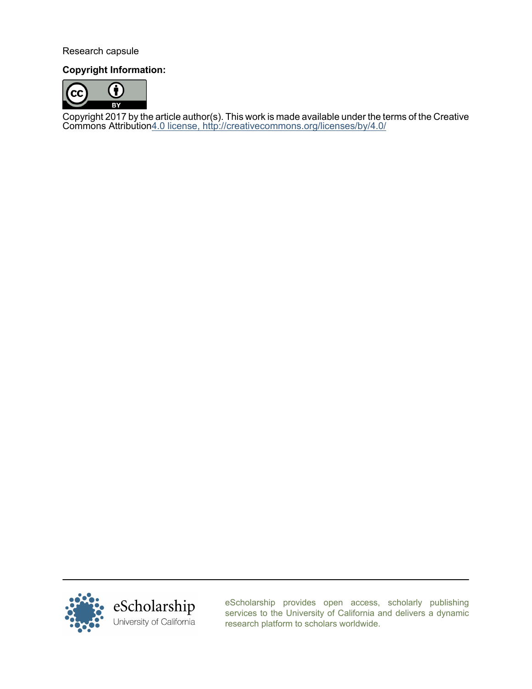Research capsule

## **Copyright Information:**



Copyright 2017 by the article author(s). This work is made available under the terms of the Creative Commons Attribution[4.0 license, http://creativecommons.org/licenses/by/4.0/](http://creativecommons.org/licenses/by/4.0/)



[eScholarship provides open access, scholarly publishing](http://escholarship.org) [services to the University of California and delivers a dynamic](http://escholarship.org) [research platform to scholars worldwide.](http://escholarship.org)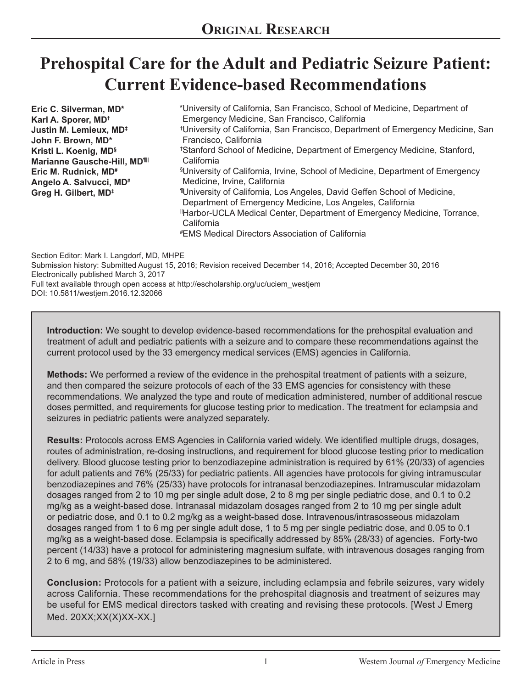## **Prehospital Care for the Adult and Pediatric Seizure Patient: Current Evidence-based Recommendations**

| Eric C. Silverman, MD*<br>Karl A. Sporer, MD <sup>+</sup><br>Justin M. Lemieux, MD <sup>#</sup><br>John F. Brown, MD*<br>Kristi L. Koenig, MD <sup>§</sup><br>Marianne Gausche-Hill, MD <sup>TII</sup><br>Eric M. Rudnick, MD <sup>#</sup><br>Angelo A. Salvucci, MD <sup>#</sup><br>Greg H. Gilbert, MD <sup>‡</sup> | *University of California, San Francisco, School of Medicine, Department of<br>Emergency Medicine, San Francisco, California<br><sup>†</sup> University of California, San Francisco, Department of Emergency Medicine, San<br>Francisco, California<br><sup>‡</sup> Stanford School of Medicine, Department of Emergency Medicine, Stanford,<br>California<br><sup>§</sup> University of California, Irvine, School of Medicine, Department of Emergency<br>Medicine, Irvine, California<br>"University of California, Los Angeles, David Geffen School of Medicine,<br>Department of Emergency Medicine, Los Angeles, California<br>"Harbor-UCLA Medical Center, Department of Emergency Medicine, Torrance,<br>California<br>EMS Medical Directors Association of California |
|-----------------------------------------------------------------------------------------------------------------------------------------------------------------------------------------------------------------------------------------------------------------------------------------------------------------------|---------------------------------------------------------------------------------------------------------------------------------------------------------------------------------------------------------------------------------------------------------------------------------------------------------------------------------------------------------------------------------------------------------------------------------------------------------------------------------------------------------------------------------------------------------------------------------------------------------------------------------------------------------------------------------------------------------------------------------------------------------------------------------|
| Section Editor: Mark I. Langdorf, MD, MHPE                                                                                                                                                                                                                                                                            | Submission history: Submitted August 15, 2016; Revision received December 14, 2016; Accepted December 30, 2016                                                                                                                                                                                                                                                                                                                                                                                                                                                                                                                                                                                                                                                                  |

Electronically published March 3, 2017

Full text available through open access at [http://escholarship.org/uc/uciem\\_westjem](http://escholarship.org/uc/uciem_westjem)

DOI: 10.5811/westjem.2016.12.32066

**Introduction:** We sought to develop evidence-based recommendations for the prehospital evaluation and treatment of adult and pediatric patients with a seizure and to compare these recommendations against the current protocol used by the 33 emergency medical services (EMS) agencies in California.

**Methods:** We performed a review of the evidence in the prehospital treatment of patients with a seizure, and then compared the seizure protocols of each of the 33 EMS agencies for consistency with these recommendations. We analyzed the type and route of medication administered, number of additional rescue doses permitted, and requirements for glucose testing prior to medication. The treatment for eclampsia and seizures in pediatric patients were analyzed separately.

**Results:** Protocols across EMS Agencies in California varied widely. We identified multiple drugs, dosages, routes of administration, re-dosing instructions, and requirement for blood glucose testing prior to medication delivery. Blood glucose testing prior to benzodiazepine administration is required by 61% (20/33) of agencies for adult patients and 76% (25/33) for pediatric patients. All agencies have protocols for giving intramuscular benzodiazepines and 76% (25/33) have protocols for intranasal benzodiazepines. Intramuscular midazolam dosages ranged from 2 to 10 mg per single adult dose, 2 to 8 mg per single pediatric dose, and 0.1 to 0.2 mg/kg as a weight-based dose. Intranasal midazolam dosages ranged from 2 to 10 mg per single adult or pediatric dose, and 0.1 to 0.2 mg/kg as a weight-based dose. Intravenous/intrasosseous midazolam dosages ranged from 1 to 6 mg per single adult dose, 1 to 5 mg per single pediatric dose, and 0.05 to 0.1 mg/kg as a weight-based dose. Eclampsia is specifically addressed by 85% (28/33) of agencies. Forty-two percent (14/33) have a protocol for administering magnesium sulfate, with intravenous dosages ranging from 2 to 6 mg, and 58% (19/33) allow benzodiazepines to be administered.

**Conclusion:** Protocols for a patient with a seizure, including eclampsia and febrile seizures, vary widely across California. These recommendations for the prehospital diagnosis and treatment of seizures may be useful for EMS medical directors tasked with creating and revising these protocols. [West J Emerg Med. 20XX;XX(X)XX-XX.]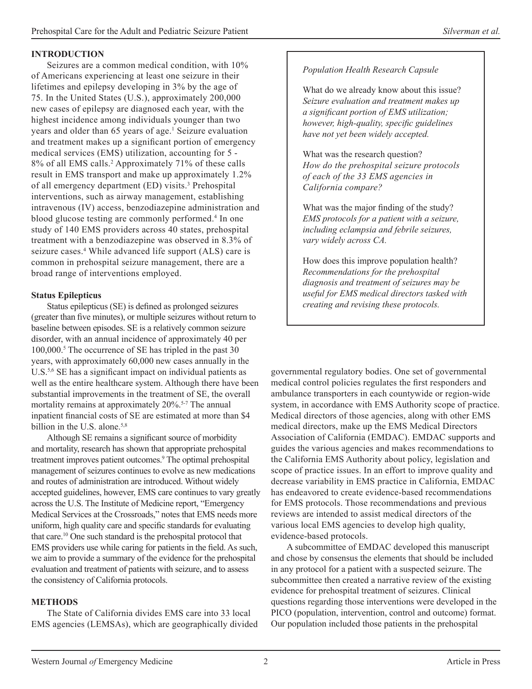### **INTRODUCTION**

Seizures are a common medical condition, with 10% of Americans experiencing at least one seizure in their lifetimes and epilepsy developing in 3% by the age of 75. In the United States (U.S.), approximately 200,000 new cases of epilepsy are diagnosed each year, with the highest incidence among individuals younger than two years and older than 65 years of age.<sup>1</sup> Seizure evaluation and treatment makes up a significant portion of emergency medical services (EMS) utilization, accounting for 5 - 8% of all EMS calls.2 Approximately 71% of these calls result in EMS transport and make up approximately 1.2% of all emergency department (ED) visits.<sup>3</sup> Prehospital interventions, such as airway management, establishing intravenous (IV) access, benzodiazepine administration and blood glucose testing are commonly performed.<sup>4</sup> In one study of 140 EMS providers across 40 states, prehospital treatment with a benzodiazepine was observed in 8.3% of seizure cases.<sup>4</sup> While advanced life support (ALS) care is common in prehospital seizure management, there are a broad range of interventions employed.

#### **Status Epilepticus**

Status epilepticus (SE) is defined as prolonged seizures (greater than five minutes), or multiple seizures without return to baseline between episodes. SE is a relatively common seizure disorder, with an annual incidence of approximately 40 per 100,000.5 The occurrence of SE has tripled in the past 30 years, with approximately 60,000 new cases annually in the U.S.5,6 SE has a significant impact on individual patients as well as the entire healthcare system. Although there have been substantial improvements in the treatment of SE, the overall mortality remains at approximately 20%.<sup>5-7</sup> The annual inpatient financial costs of SE are estimated at more than \$4 billion in the U.S. alone.<sup>5,8</sup>

Although SE remains a significant source of morbidity and mortality, research has shown that appropriate prehospital treatment improves patient outcomes.<sup>9</sup> The optimal prehospital management of seizures continues to evolve as new medications and routes of administration are introduced. Without widely accepted guidelines, however, EMS care continues to vary greatly across the U.S. The Institute of Medicine report, "Emergency Medical Services at the Crossroads," notes that EMS needs more uniform, high quality care and specific standards for evaluating that care.10 One such standard is the prehospital protocol that EMS providers use while caring for patients in the field. As such, we aim to provide a summary of the evidence for the prehospital evaluation and treatment of patients with seizure, and to assess the consistency of California protocols.

#### **METHODS**

The State of California divides EMS care into 33 local EMS agencies (LEMSAs), which are geographically divided

## *Population Health Research Capsule*

What do we already know about this issue? *Seizure evaluation and treatment makes up a significant portion of EMS utilization; however, high-quality, specific guidelines have not yet been widely accepted.*

What was the research question? *How do the prehospital seizure protocols of each of the 33 EMS agencies in California compare?*

What was the major finding of the study? *EMS protocols for a patient with a seizure, including eclampsia and febrile seizures, vary widely across CA.*

How does this improve population health? *Recommendations for the prehospital diagnosis and treatment of seizures may be useful for EMS medical directors tasked with creating and revising these protocols.*

governmental regulatory bodies. One set of governmental medical control policies regulates the first responders and ambulance transporters in each countywide or region-wide system, in accordance with EMS Authority scope of practice. Medical directors of those agencies, along with other EMS medical directors, make up the EMS Medical Directors Association of California (EMDAC). EMDAC supports and guides the various agencies and makes recommendations to the California EMS Authority about policy, legislation and scope of practice issues. In an effort to improve quality and decrease variability in EMS practice in California, EMDAC has endeavored to create evidence-based recommendations for EMS protocols. Those recommendations and previous reviews are intended to assist medical directors of the various local EMS agencies to develop high quality, evidence-based protocols.

A subcommittee of EMDAC developed this manuscript and chose by consensus the elements that should be included in any protocol for a patient with a suspected seizure. The subcommittee then created a narrative review of the existing evidence for prehospital treatment of seizures. Clinical questions regarding those interventions were developed in the PICO (population, intervention, control and outcome) format. Our population included those patients in the prehospital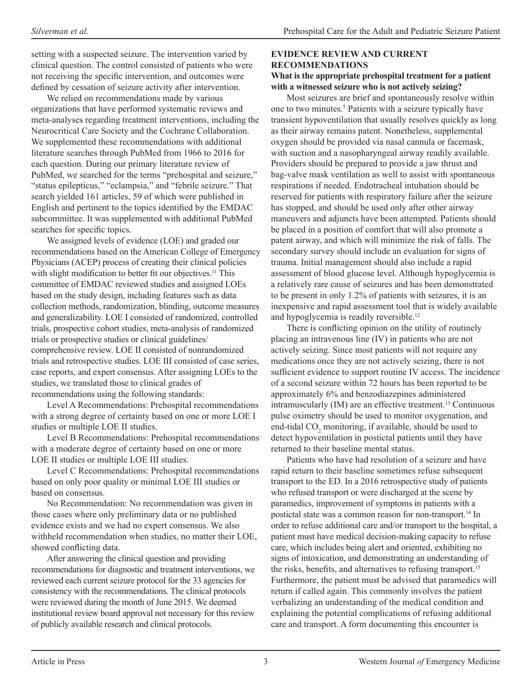setting with a suspected seizure. The intervention varied by clinical question. The control consisted of patients who were not receiving the specific intervention, and outcomes were defined by cessation of seizure activity after intervention.

We relied on recommendations made by various organizations that have performed systematic reviews and meta-analyses regarding treatment interventions, including the Neurocritical Care Society and the Cochrane Collaboration. We supplemented these recommendations with additional literature searches through PubMed from 1966 to 2016 for each question. During our primary literature review of PubMed, we searched for the terms "prehospital and seizure," "status epilepticus," "eclampsia," and "febrile seizure." That search yielded 161 articles, 59 of which were published in English and pertinent to the topics identified by the EMDAC subcommittee. It was supplemented with additional PubMed searches for specific topics.

We assigned levels of evidence (LOE) and graded our recommendations based on the American College of Emergency Physicians (ACEP) process of creating their clinical policies with slight modification to better fit our objectives.<sup>11</sup> This committee of EMDAC reviewed studies and assigned LOEs based on the study design, including features such as data collection methods, randomization, blinding, outcome measures and generalizability. LOE I consisted of randomized, controlled trials, prospective cohort studies, meta-analysis of randomized trials or prospective studies or clinical guidelines/ comprehensive review. LOE II consisted of nonrandomized trials and retrospective studies. LOE III consisted of case series, case reports, and expert consensus. After assigning LOEs to the studies, we translated those to clinical grades of recommendations using the following standards:

Level A Recommendations: Prehospital recommendations with a strong degree of certainty based on one or more LOE I studies or multiple LOE II studies.

Level B Recommendations: Prehospital recommendations with a moderate degree of certainty based on one or more LOE II studies or multiple LOE III studies.

Level C Recommendations: Prehospital recommendations based on only poor quality or minimal LOE III studies or based on consensus.

No Recommendation: No recommendation was given in those cases where only preliminary data or no published evidence exists and we had no expert consensus. We also withheld recommendation when studies, no matter their LOE, showed conflicting data.

After answering the clinical question and providing recommendations for diagnostic and treatment interventions, we reviewed each current seizure protocol for the 33 agencies for consistency with the recommendations. The clinical protocols were reviewed during the month of June 2015. We deemed institutional review board approval not necessary for this review of publicly available research and clinical protocols.

#### **EVIDENCE REVIEW AND CURRENT RECOMMENDATIONS What is the appropriate prehospital treatment for a patient with a witnessed seizure who is not actively seizing?**

Most seizures are brief and spontaneously resolve within one to two minutes.<sup>5</sup> Patients with a seizure typically have transient hypoventilation that usually resolves quickly as long as their airway remains patent. Nonetheless, supplemental oxygen should be provided via nasal cannula or facemask, with suction and a nasopharyngeal airway readily available. Providers should be prepared to provide a jaw thrust and bag-valve mask ventilation as well to assist with spontaneous respirations if needed. Endotracheal intubation should be reserved for patients with respiratory failure after the seizure has stopped, and should be used only after other airway maneuvers and adjuncts have been attempted. Patients should be placed in a position of comfort that will also promote a patent airway, and which will minimize the risk of falls. The secondary survey should include an evaluation for signs of trauma. Initial management should also include a rapid assessment of blood glucose level. Although hypoglycemia is a relatively rare cause of seizures and has been demonstrated to be present in only 1.2% of patients with seizures, it is an inexpensive and rapid assessment tool that is widely available and hypoglycemia is readily reversible.12

There is conflicting opinion on the utility of routinely placing an intravenous line (IV) in patients who are not actively seizing. Since most patients will not require any medications once they are not actively seizing, there is not sufficient evidence to support routine IV access. The incidence of a second seizure within 72 hours has been reported to be approximately 6% and benzodiazepines administered intramuscularly (IM) are an effective treatment.<sup>13</sup> Continuous pulse oximetry should be used to monitor oxygenation, and end-tidal  $CO_2$  monitoring, if available, should be used to detect hypoventilation in postictal patients until they have returned to their baseline mental status.

Patients who have had resolution of a seizure and have rapid return to their baseline sometimes refuse subsequent transport to the ED. In a 2016 retrospective study of patients who refused transport or were discharged at the scene by paramedics, improvement of symptoms in patients with a postictal state was a common reason for non-transport.<sup>14</sup> In order to refuse additional care and/or transport to the hospital, a patient must have medical decision-making capacity to refuse care, which includes being alert and oriented, exhibiting no signs of intoxication, and demonstrating an understanding of the risks, benefits, and alternatives to refusing transport.<sup>15</sup> Furthermore, the patient must be advised that paramedics will return if called again. This commonly involves the patient verbalizing an understanding of the medical condition and explaining the potential complications of refusing additional care and transport. A form documenting this encounter is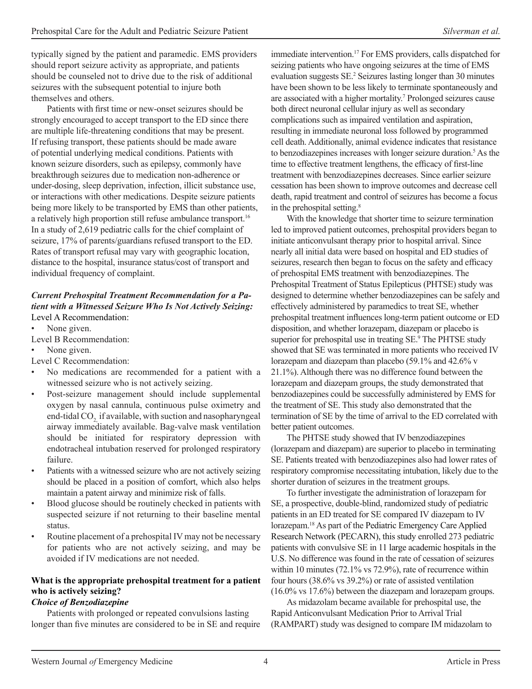typically signed by the patient and paramedic. EMS providers should report seizure activity as appropriate, and patients should be counseled not to drive due to the risk of additional seizures with the subsequent potential to injure both themselves and others.

Patients with first time or new-onset seizures should be strongly encouraged to accept transport to the ED since there are multiple life-threatening conditions that may be present. If refusing transport, these patients should be made aware of potential underlying medical conditions. Patients with known seizure disorders, such as epilepsy, commonly have breakthrough seizures due to medication non-adherence or under-dosing, sleep deprivation, infection, illicit substance use, or interactions with other medications. Despite seizure patients being more likely to be transported by EMS than other patients, a relatively high proportion still refuse ambulance transport.16 In a study of 2,619 pediatric calls for the chief complaint of seizure, 17% of parents/guardians refused transport to the ED. Rates of transport refusal may vary with geographic location, distance to the hospital, insurance status/cost of transport and individual frequency of complaint.

#### *Current Prehospital Treatment Recommendation for a Patient with a Witnessed Seizure Who Is Not Actively Seizing:*  Level A Recommendation:

None given.

- Level B Recommendation:
- None given.

Level C Recommendation:

- No medications are recommended for a patient with a witnessed seizure who is not actively seizing.
- Post-seizure management should include supplemental oxygen by nasal cannula, continuous pulse oximetry and end-tidal CO<sub>2</sub> if available, with suction and nasopharyngeal airway immediately available. Bag-valve mask ventilation should be initiated for respiratory depression with endotracheal intubation reserved for prolonged respiratory failure.
- Patients with a witnessed seizure who are not actively seizing should be placed in a position of comfort, which also helps maintain a patent airway and minimize risk of falls.
- Blood glucose should be routinely checked in patients with suspected seizure if not returning to their baseline mental status.
- Routine placement of a prehospital IV may not be necessary for patients who are not actively seizing, and may be avoided if IV medications are not needed.

## **What is the appropriate prehospital treatment for a patient who is actively seizing?**

#### *Choice of Benzodiazepine*

Patients with prolonged or repeated convulsions lasting longer than five minutes are considered to be in SE and require immediate intervention.17 For EMS providers, calls dispatched for seizing patients who have ongoing seizures at the time of EMS evaluation suggests SE.<sup>2</sup> Seizures lasting longer than 30 minutes have been shown to be less likely to terminate spontaneously and are associated with a higher mortality.<sup>7</sup> Prolonged seizures cause both direct neuronal cellular injury as well as secondary complications such as impaired ventilation and aspiration, resulting in immediate neuronal loss followed by programmed cell death. Additionally, animal evidence indicates that resistance to benzodiazepines increases with longer seizure duration.<sup>5</sup> As the time to effective treatment lengthens, the efficacy of first-line treatment with benzodiazepines decreases. Since earlier seizure cessation has been shown to improve outcomes and decrease cell death, rapid treatment and control of seizures has become a focus in the prehospital setting.<sup>8</sup>

With the knowledge that shorter time to seizure termination led to improved patient outcomes, prehospital providers began to initiate anticonvulsant therapy prior to hospital arrival. Since nearly all initial data were based on hospital and ED studies of seizures, research then began to focus on the safety and efficacy of prehospital EMS treatment with benzodiazepines. The Prehospital Treatment of Status Epilepticus (PHTSE) study was designed to determine whether benzodiazepines can be safely and effectively administered by paramedics to treat SE, whether prehospital treatment influences long-term patient outcome or ED disposition, and whether lorazepam, diazepam or placebo is superior for prehospital use in treating SE.<sup>9</sup> The PHTSE study showed that SE was terminated in more patients who received IV lorazepam and diazepam than placebo (59.1% and 42.6% v 21.1%). Although there was no difference found between the lorazepam and diazepam groups, the study demonstrated that benzodiazepines could be successfully administered by EMS for the treatment of SE. This study also demonstrated that the termination of SE by the time of arrival to the ED correlated with better patient outcomes.

The PHTSE study showed that IV benzodiazepines (lorazepam and diazepam) are superior to placebo in terminating SE. Patients treated with benzodiazepines also had lower rates of respiratory compromise necessitating intubation, likely due to the shorter duration of seizures in the treatment groups.

To further investigate the administration of lorazepam for SE, a prospective, double-blind, randomized study of pediatric patients in an ED treated for SE compared IV diazepam to IV lorazepam.18 As part of the Pediatric Emergency Care Applied Research Network (PECARN), this study enrolled 273 pediatric patients with convulsive SE in 11 large academic hospitals in the U.S. No difference was found in the rate of cessation of seizures within 10 minutes (72.1% vs 72.9%), rate of recurrence within four hours (38.6% vs 39.2%) or rate of assisted ventilation (16.0% vs 17.6%) between the diazepam and lorazepam groups.

As midazolam became available for prehospital use, the Rapid Anticonvulsant Medication Prior to Arrival Trial (RAMPART) study was designed to compare IM midazolam to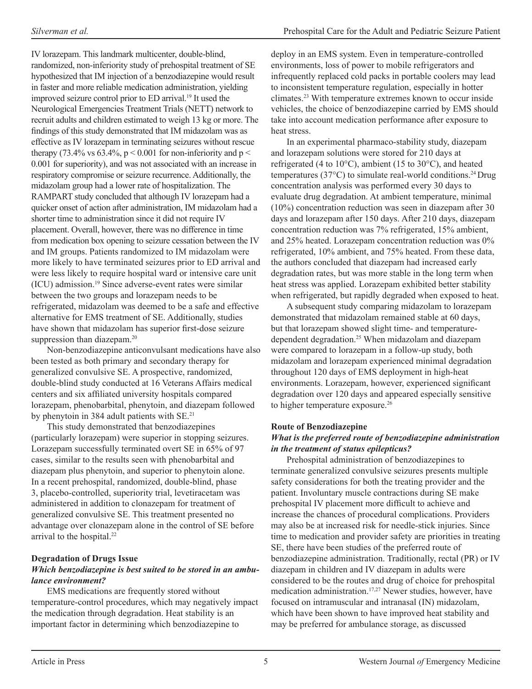IV lorazepam. This landmark multicenter, double-blind, randomized, non-inferiority study of prehospital treatment of SE hypothesized that IM injection of a benzodiazepine would result in faster and more reliable medication administration, yielding improved seizure control prior to ED arrival.<sup>19</sup> It used the Neurological Emergencies Treatment Trials (NETT) network to recruit adults and children estimated to weigh 13 kg or more. The findings of this study demonstrated that IM midazolam was as effective as IV lorazepam in terminating seizures without rescue therapy (73.4% vs  $63.4\%$ ,  $p < 0.001$  for non-inferiority and  $p <$ 0.001 for superiority), and was not associated with an increase in respiratory compromise or seizure recurrence. Additionally, the midazolam group had a lower rate of hospitalization. The RAMPART study concluded that although IV lorazepam had a quicker onset of action after administration, IM midazolam had a shorter time to administration since it did not require IV placement. Overall, however, there was no difference in time from medication box opening to seizure cessation between the IV and IM groups. Patients randomized to IM midazolam were more likely to have terminated seizures prior to ED arrival and were less likely to require hospital ward or intensive care unit (ICU) admission.19 Since adverse-event rates were similar between the two groups and lorazepam needs to be refrigerated, midazolam was deemed to be a safe and effective alternative for EMS treatment of SE. Additionally, studies have shown that midazolam has superior first-dose seizure suppression than diazepam.<sup>20</sup>

Non-benzodiazepine anticonvulsant medications have also been tested as both primary and secondary therapy for generalized convulsive SE. A prospective, randomized, double-blind study conducted at 16 Veterans Affairs medical centers and six affiliated university hospitals compared lorazepam, phenobarbital, phenytoin, and diazepam followed by phenytoin in 384 adult patients with SE.<sup>21</sup>

This study demonstrated that benzodiazepines (particularly lorazepam) were superior in stopping seizures. Lorazepam successfully terminated overt SE in 65% of 97 cases, similar to the results seen with phenobarbital and diazepam plus phenytoin, and superior to phenytoin alone. In a recent prehospital, randomized, double-blind, phase 3, placebo-controlled, superiority trial, levetiracetam was administered in addition to clonazepam for treatment of generalized convulsive SE. This treatment presented no advantage over clonazepam alone in the control of SE before arrival to the hospital.<sup>22</sup>

#### **Degradation of Drugs Issue**

#### *Which benzodiazepine is best suited to be stored in an ambulance environment?*

EMS medications are frequently stored without temperature-control procedures, which may negatively impact the medication through degradation. Heat stability is an important factor in determining which benzodiazepine to

deploy in an EMS system. Even in temperature-controlled environments, loss of power to mobile refrigerators and infrequently replaced cold packs in portable coolers may lead to inconsistent temperature regulation, especially in hotter climates.23 With temperature extremes known to occur inside vehicles, the choice of benzodiazepine carried by EMS should take into account medication performance after exposure to heat stress.

In an experimental pharmaco-stability study, diazepam and lorazepam solutions were stored for 210 days at refrigerated (4 to 10°C), ambient (15 to 30°C), and heated temperatures ( $37^{\circ}$ C) to simulate real-world conditions.<sup>24</sup> Drug concentration analysis was performed every 30 days to evaluate drug degradation. At ambient temperature, minimal (10%) concentration reduction was seen in diazepam after 30 days and lorazepam after 150 days. After 210 days, diazepam concentration reduction was 7% refrigerated, 15% ambient, and 25% heated. Lorazepam concentration reduction was 0% refrigerated, 10% ambient, and 75% heated. From these data, the authors concluded that diazepam had increased early degradation rates, but was more stable in the long term when heat stress was applied. Lorazepam exhibited better stability when refrigerated, but rapidly degraded when exposed to heat.

A subsequent study comparing midazolam to lorazepam demonstrated that midazolam remained stable at 60 days, but that lorazepam showed slight time- and temperaturedependent degradation.<sup>25</sup> When midazolam and diazepam were compared to lorazepam in a follow-up study, both midazolam and lorazepam experienced minimal degradation throughout 120 days of EMS deployment in high-heat environments. Lorazepam, however, experienced significant degradation over 120 days and appeared especially sensitive to higher temperature exposure.<sup>26</sup>

## **Route of Benzodiazepine**

#### *What is the preferred route of benzodiazepine administration in the treatment of status epilepticus?*

Prehospital administration of benzodiazepines to terminate generalized convulsive seizures presents multiple safety considerations for both the treating provider and the patient. Involuntary muscle contractions during SE make prehospital IV placement more difficult to achieve and increase the chances of procedural complications. Providers may also be at increased risk for needle-stick injuries. Since time to medication and provider safety are priorities in treating SE, there have been studies of the preferred route of benzodiazepine administration. Traditionally, rectal (PR) or IV diazepam in children and IV diazepam in adults were considered to be the routes and drug of choice for prehospital medication administration.<sup>17,27</sup> Newer studies, however, have focused on intramuscular and intranasal (IN) midazolam, which have been shown to have improved heat stability and may be preferred for ambulance storage, as discussed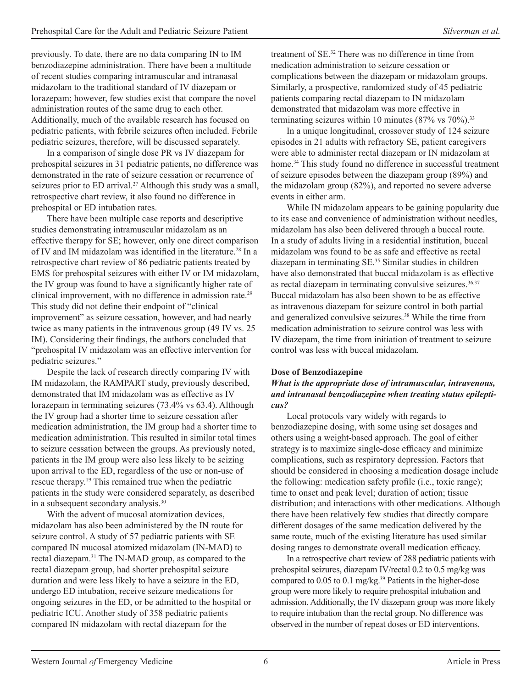previously. To date, there are no data comparing IN to IM benzodiazepine administration. There have been a multitude of recent studies comparing intramuscular and intranasal midazolam to the traditional standard of IV diazepam or lorazepam; however, few studies exist that compare the novel administration routes of the same drug to each other. Additionally, much of the available research has focused on pediatric patients, with febrile seizures often included. Febrile pediatric seizures, therefore, will be discussed separately.

In a comparison of single dose PR vs IV diazepam for prehospital seizures in 31 pediatric patients, no difference was demonstrated in the rate of seizure cessation or recurrence of seizures prior to ED arrival.<sup>27</sup> Although this study was a small, retrospective chart review, it also found no difference in prehospital or ED intubation rates.

There have been multiple case reports and descriptive studies demonstrating intramuscular midazolam as an effective therapy for SE; however, only one direct comparison of IV and IM midazolam was identified in the literature.28 In a retrospective chart review of 86 pediatric patients treated by EMS for prehospital seizures with either IV or IM midazolam, the IV group was found to have a significantly higher rate of clinical improvement, with no difference in admission rate.<sup>29</sup> This study did not define their endpoint of "clinical improvement" as seizure cessation, however, and had nearly twice as many patients in the intravenous group (49 IV vs. 25 IM). Considering their findings, the authors concluded that "prehospital IV midazolam was an effective intervention for pediatric seizures."

Despite the lack of research directly comparing IV with IM midazolam, the RAMPART study, previously described, demonstrated that IM midazolam was as effective as IV lorazepam in terminating seizures (73.4% vs 63.4). Although the IV group had a shorter time to seizure cessation after medication administration, the IM group had a shorter time to medication administration. This resulted in similar total times to seizure cessation between the groups. As previously noted, patients in the IM group were also less likely to be seizing upon arrival to the ED, regardless of the use or non-use of rescue therapy.19 This remained true when the pediatric patients in the study were considered separately, as described in a subsequent secondary analysis.<sup>30</sup>

With the advent of mucosal atomization devices. midazolam has also been administered by the IN route for seizure control. A study of 57 pediatric patients with SE compared IN mucosal atomized midazolam (IN-MAD) to rectal diazepam.31 The IN-MAD group, as compared to the rectal diazepam group, had shorter prehospital seizure duration and were less likely to have a seizure in the ED, undergo ED intubation, receive seizure medications for ongoing seizures in the ED, or be admitted to the hospital or pediatric ICU. Another study of 358 pediatric patients compared IN midazolam with rectal diazepam for the

treatment of SE.32 There was no difference in time from medication administration to seizure cessation or complications between the diazepam or midazolam groups. Similarly, a prospective, randomized study of 45 pediatric patients comparing rectal diazepam to IN midazolam demonstrated that midazolam was more effective in terminating seizures within 10 minutes  $(87\% \text{ vs } 70\%)$ .<sup>33</sup>

In a unique longitudinal, crossover study of 124 seizure episodes in 21 adults with refractory SE, patient caregivers were able to administer rectal diazepam or IN midazolam at home.<sup>34</sup> This study found no difference in successful treatment of seizure episodes between the diazepam group (89%) and the midazolam group (82%), and reported no severe adverse events in either arm.

While IN midazolam appears to be gaining popularity due to its ease and convenience of administration without needles, midazolam has also been delivered through a buccal route. In a study of adults living in a residential institution, buccal midazolam was found to be as safe and effective as rectal diazepam in terminating SE.<sup>35</sup> Similar studies in children have also demonstrated that buccal midazolam is as effective as rectal diazepam in terminating convulsive seizures.<sup>36,37</sup> Buccal midazolam has also been shown to be as effective as intravenous diazepam for seizure control in both partial and generalized convulsive seizures.<sup>38</sup> While the time from medication administration to seizure control was less with IV diazepam, the time from initiation of treatment to seizure control was less with buccal midazolam.

#### **Dose of Benzodiazepine**

#### *What is the appropriate dose of intramuscular, intravenous, and intranasal benzodiazepine when treating status epilepticus?*

Local protocols vary widely with regards to benzodiazepine dosing, with some using set dosages and others using a weight-based approach. The goal of either strategy is to maximize single-dose efficacy and minimize complications, such as respiratory depression. Factors that should be considered in choosing a medication dosage include the following: medication safety profile (i.e., toxic range); time to onset and peak level; duration of action; tissue distribution; and interactions with other medications. Although there have been relatively few studies that directly compare different dosages of the same medication delivered by the same route, much of the existing literature has used similar dosing ranges to demonstrate overall medication efficacy.

In a retrospective chart review of 288 pediatric patients with prehospital seizures, diazepam IV/rectal 0.2 to 0.5 mg/kg was compared to  $0.05$  to  $0.1$  mg/kg.<sup>39</sup> Patients in the higher-dose group were more likely to require prehospital intubation and admission. Additionally, the IV diazepam group was more likely to require intubation than the rectal group. No difference was observed in the number of repeat doses or ED interventions.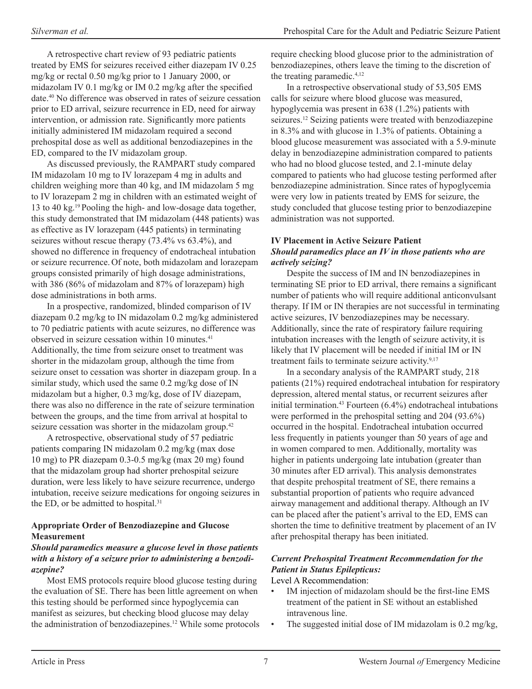A retrospective chart review of 93 pediatric patients treated by EMS for seizures received either diazepam IV 0.25 mg/kg or rectal 0.50 mg/kg prior to 1 January 2000, or midazolam IV 0.1 mg/kg or IM 0.2 mg/kg after the specified date.40 No difference was observed in rates of seizure cessation prior to ED arrival, seizure recurrence in ED, need for airway intervention, or admission rate. Significantly more patients initially administered IM midazolam required a second prehospital dose as well as additional benzodiazepines in the ED, compared to the IV midazolam group.

As discussed previously, the RAMPART study compared IM midazolam 10 mg to IV lorazepam 4 mg in adults and children weighing more than 40 kg, and IM midazolam 5 mg to IV lorazepam 2 mg in children with an estimated weight of 13 to 40 kg.19 Pooling the high- and low-dosage data together, this study demonstrated that IM midazolam (448 patients) was as effective as IV lorazepam (445 patients) in terminating seizures without rescue therapy (73.4% vs 63.4%), and showed no difference in frequency of endotracheal intubation or seizure recurrence. Of note, both midazolam and lorazepam groups consisted primarily of high dosage administrations, with 386 (86% of midazolam and 87% of lorazepam) high dose administrations in both arms.

In a prospective, randomized, blinded comparison of IV diazepam 0.2 mg/kg to IN midazolam 0.2 mg/kg administered to 70 pediatric patients with acute seizures, no difference was observed in seizure cessation within 10 minutes.<sup>41</sup> Additionally, the time from seizure onset to treatment was shorter in the midazolam group, although the time from seizure onset to cessation was shorter in diazepam group. In a similar study, which used the same 0.2 mg/kg dose of IN midazolam but a higher, 0.3 mg/kg, dose of IV diazepam, there was also no difference in the rate of seizure termination between the groups, and the time from arrival at hospital to seizure cessation was shorter in the midazolam group.<sup>42</sup>

A retrospective, observational study of 57 pediatric patients comparing IN midazolam 0.2 mg/kg (max dose 10 mg) to PR diazepam 0.3-0.5 mg/kg (max 20 mg) found that the midazolam group had shorter prehospital seizure duration, were less likely to have seizure recurrence, undergo intubation, receive seizure medications for ongoing seizures in the ED, or be admitted to hospital.<sup>31</sup>

#### **Appropriate Order of Benzodiazepine and Glucose Measurement**

#### *Should paramedics measure a glucose level in those patients with a history of a seizure prior to administering a benzodiazepine?*

Most EMS protocols require blood glucose testing during the evaluation of SE. There has been little agreement on when this testing should be performed since hypoglycemia can manifest as seizures, but checking blood glucose may delay the administration of benzodiazepines.<sup>12</sup> While some protocols require checking blood glucose prior to the administration of benzodiazepines, others leave the timing to the discretion of the treating paramedic.<sup>4,12</sup>

In a retrospective observational study of 53,505 EMS calls for seizure where blood glucose was measured, hypoglycemia was present in 638 (1.2%) patients with seizures.<sup>12</sup> Seizing patients were treated with benzodiazepine in 8.3% and with glucose in 1.3% of patients. Obtaining a blood glucose measurement was associated with a 5.9-minute delay in benzodiazepine administration compared to patients who had no blood glucose tested, and 2.1-minute delay compared to patients who had glucose testing performed after benzodiazepine administration. Since rates of hypoglycemia were very low in patients treated by EMS for seizure, the study concluded that glucose testing prior to benzodiazepine administration was not supported.

#### **IV Placement in Active Seizure Patient** *Should paramedics place an IV in those patients who are actively seizing?*

Despite the success of IM and IN benzodiazepines in terminating SE prior to ED arrival, there remains a significant number of patients who will require additional anticonvulsant therapy. If IM or IN therapies are not successful in terminating active seizures, IV benzodiazepines may be necessary. Additionally, since the rate of respiratory failure requiring intubation increases with the length of seizure activity, it is likely that IV placement will be needed if initial IM or IN treatment fails to terminate seizure activity.<sup>9,17</sup>

In a secondary analysis of the RAMPART study, 218 patients (21%) required endotracheal intubation for respiratory depression, altered mental status, or recurrent seizures after initial termination. $43$  Fourteen (6.4%) endotracheal intubations were performed in the prehospital setting and 204 (93.6%) occurred in the hospital. Endotracheal intubation occurred less frequently in patients younger than 50 years of age and in women compared to men. Additionally, mortality was higher in patients undergoing late intubation (greater than 30 minutes after ED arrival). This analysis demonstrates that despite prehospital treatment of SE, there remains a substantial proportion of patients who require advanced airway management and additional therapy. Although an IV can be placed after the patient's arrival to the ED, EMS can shorten the time to definitive treatment by placement of an IV after prehospital therapy has been initiated.

## *Current Prehospital Treatment Recommendation for the Patient in Status Epilepticus:*

Level A Recommendation:

- IM injection of midazolam should be the first-line EMS treatment of the patient in SE without an established intravenous line.
- The suggested initial dose of IM midazolam is 0.2 mg/kg,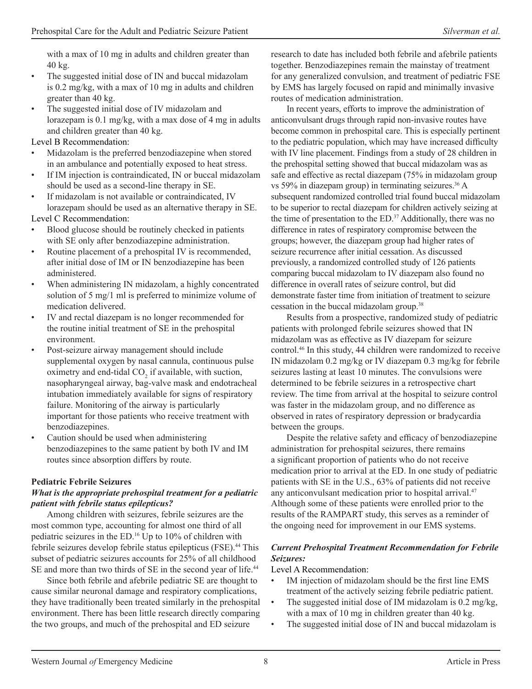with a max of 10 mg in adults and children greater than 40 kg.

- The suggested initial dose of IN and buccal midazolam is 0.2 mg/kg, with a max of 10 mg in adults and children greater than 40 kg.
- The suggested initial dose of IV midazolam and lorazepam is 0.1 mg/kg, with a max dose of 4 mg in adults and children greater than 40 kg.
- Level B Recommendation:
- Midazolam is the preferred benzodiazepine when stored in an ambulance and potentially exposed to heat stress.
- If IM injection is contraindicated, IN or buccal midazolam should be used as a second-line therapy in SE.
- If midazolam is not available or contraindicated, IV lorazepam should be used as an alternative therapy in SE. Level C Recommendation:
- Blood glucose should be routinely checked in patients with SE only after benzodiazepine administration.
- Routine placement of a prehospital IV is recommended, after initial dose of IM or IN benzodiazepine has been administered.
- When administering IN midazolam, a highly concentrated solution of 5 mg/1 ml is preferred to minimize volume of medication delivered.
- IV and rectal diazepam is no longer recommended for the routine initial treatment of SE in the prehospital environment.
- Post-seizure airway management should include supplemental oxygen by nasal cannula, continuous pulse oximetry and end-tidal  $CO_2$  if available, with suction, nasopharyngeal airway, bag-valve mask and endotracheal intubation immediately available for signs of respiratory failure. Monitoring of the airway is particularly important for those patients who receive treatment with benzodiazepines.
- Caution should be used when administering benzodiazepines to the same patient by both IV and IM routes since absorption differs by route.

## **Pediatric Febrile Seizures**

#### *What is the appropriate prehospital treatment for a pediatric patient with febrile status epilepticus?*

Among children with seizures, febrile seizures are the most common type, accounting for almost one third of all pediatric seizures in the ED.16 Up to 10% of children with febrile seizures develop febrile status epilepticus (FSE).44 This subset of pediatric seizures accounts for 25% of all childhood SE and more than two thirds of SE in the second year of life.<sup>44</sup>

Since both febrile and afebrile pediatric SE are thought to cause similar neuronal damage and respiratory complications, they have traditionally been treated similarly in the prehospital environment. There has been little research directly comparing the two groups, and much of the prehospital and ED seizure

research to date has included both febrile and afebrile patients together. Benzodiazepines remain the mainstay of treatment for any generalized convulsion, and treatment of pediatric FSE by EMS has largely focused on rapid and minimally invasive routes of medication administration.

In recent years, efforts to improve the administration of anticonvulsant drugs through rapid non-invasive routes have become common in prehospital care. This is especially pertinent to the pediatric population, which may have increased difficulty with IV line placement. Findings from a study of 28 children in the prehospital setting showed that buccal midazolam was as safe and effective as rectal diazepam (75% in midazolam group vs 59% in diazepam group) in terminating seizures.<sup>36</sup> A subsequent randomized controlled trial found buccal midazolam to be superior to rectal diazepam for children actively seizing at the time of presentation to the ED.37 Additionally, there was no difference in rates of respiratory compromise between the groups; however, the diazepam group had higher rates of seizure recurrence after initial cessation. As discussed previously, a randomized controlled study of 126 patients comparing buccal midazolam to IV diazepam also found no difference in overall rates of seizure control, but did demonstrate faster time from initiation of treatment to seizure cessation in the buccal midazolam group.38

Results from a prospective, randomized study of pediatric patients with prolonged febrile seizures showed that IN midazolam was as effective as IV diazepam for seizure control.46 In this study, 44 children were randomized to receive IN midazolam 0.2 mg/kg or IV diazepam 0.3 mg/kg for febrile seizures lasting at least 10 minutes. The convulsions were determined to be febrile seizures in a retrospective chart review. The time from arrival at the hospital to seizure control was faster in the midazolam group, and no difference as observed in rates of respiratory depression or bradycardia between the groups.

Despite the relative safety and efficacy of benzodiazepine administration for prehospital seizures, there remains a significant proportion of patients who do not receive medication prior to arrival at the ED. In one study of pediatric patients with SE in the U.S., 63% of patients did not receive any anticonvulsant medication prior to hospital arrival.<sup>47</sup> Although some of these patients were enrolled prior to the results of the RAMPART study, this serves as a reminder of the ongoing need for improvement in our EMS systems.

## *Current Prehospital Treatment Recommendation for Febrile Seizures:*

Level A Recommendation:

- IM injection of midazolam should be the first line EMS treatment of the actively seizing febrile pediatric patient.
- The suggested initial dose of IM midazolam is 0.2 mg/kg, with a max of 10 mg in children greater than 40 kg.
- The suggested initial dose of IN and buccal midazolam is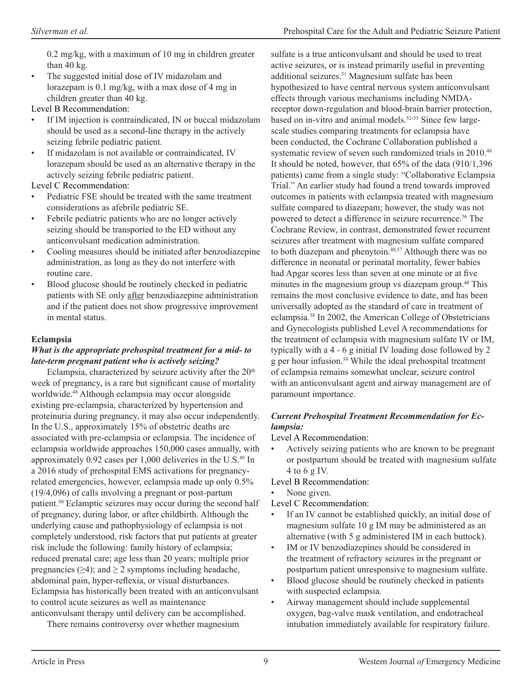0.2 mg/kg, with a maximum of 10 mg in children greater than 40 kg.

The suggested initial dose of IV midazolam and lorazepam is 0.1 mg/kg, with a max dose of 4 mg in children greater than 40 kg.

Level B Recommendation:

- If IM injection is contraindicated, IN or buccal midazolam should be used as a second-line therapy in the actively seizing febrile pediatric patient.
- If midazolam is not available or contraindicated, IV lorazepam should be used as an alternative therapy in the actively seizing febrile pediatric patient.

Level C Recommendation:

- Pediatric FSE should be treated with the same treatment considerations as afebrile pediatric SE.
- Febrile pediatric patients who are no longer actively seizing should be transported to the ED without any anticonvulsant medication administration.
- Cooling measures should be initiated after benzodiazepine administration, as long as they do not interfere with routine care.
- Blood glucose should be routinely checked in pediatric patients with SE only after benzodiazepine administration and if the patient does not show progressive improvement in mental status.

## **Eclampsia**

## *What is the appropriate prehospital treatment for a mid- to late-term pregnant patient who is actively seizing?*

Eclampsia, characterized by seizure activity after the  $20<sup>th</sup>$ week of pregnancy, is a rare but significant cause of mortality worldwide.48 Although eclampsia may occur alongside existing pre-eclampsia, characterized by hypertension and proteinuria during pregnancy, it may also occur independently. In the U.S., approximately 15% of obstetric deaths are associated with pre-eclampsia or eclampsia. The incidence of eclampsia worldwide approaches 150,000 cases annually, with approximately  $0.92$  cases per 1,000 deliveries in the U.S.<sup>49</sup> In a 2016 study of prehospital EMS activations for pregnancyrelated emergencies, however, eclampsia made up only 0.5% (19/4,096) of calls involving a pregnant or post-partum patient.50 Eclamptic seizures may occur during the second half of pregnancy, during labor, or after childbirth. Although the underlying cause and pathophysiology of eclampsia is not completely understood, risk factors that put patients at greater risk include the following: family history of eclampsia; reduced prenatal care; age less than 20 years; multiple prior pregnancies ( $\geq$ 4); and  $\geq$  2 symptoms including headache, abdominal pain, hyper-reflexia, or visual disturbances. Eclampsia has historically been treated with an anticonvulsant to control acute seizures as well as maintenance anticonvulsant therapy until delivery can be accomplished.

There remains controversy over whether magnesium

sulfate is a true anticonvulsant and should be used to treat active seizures, or is instead primarily useful in preventing additional seizures.<sup>51</sup> Magnesium sulfate has been hypothesized to have central nervous system anticonvulsant effects through various mechanisms including NMDAreceptor down-regulation and blood-brain barrier protection, based on in-vitro and animal models.<sup>52-55</sup> Since few largescale studies comparing treatments for eclampsia have been conducted, the Cochrane Collaboration published a systematic review of seven such randomized trials in 2010.<sup>48</sup> It should be noted, however, that 65% of the data (910/1,396 patients) came from a single study: "Collaborative Eclampsia Trial." An earlier study had found a trend towards improved outcomes in patients with eclampsia treated with magnesium sulfate compared to diazepam; however, the study was not powered to detect a difference in seizure recurrence.56 The Cochrane Review, in contrast, demonstrated fewer recurrent seizures after treatment with magnesium sulfate compared to both diazepam and phenytoin.<sup>48,57</sup> Although there was no difference in neonatal or perinatal mortality, fewer babies had Apgar scores less than seven at one minute or at five minutes in the magnesium group vs diazepam group.<sup>48</sup> This remains the most conclusive evidence to date, and has been universally adopted as the standard of care in treatment of eclampsia.58 In 2002, the American College of Obstetricians and Gynecologists published Level A recommendations for the treatment of eclampsia with magnesium sulfate IV or IM, typically with a 4 - 6 g initial IV loading dose followed by 2 g per hour infusion.59 While the ideal prehospital treatment of eclampsia remains somewhat unclear, seizure control with an anticonvulsant agent and airway management are of paramount importance.

## *Current Prehospital Treatment Recommendation for Eclampsia:*

Level A Recommendation:

• Actively seizing patients who are known to be pregnant or postpartum should be treated with magnesium sulfate 4 to 6 g IV.

Level B Recommendation:

- None given.
- Level C Recommendation:
- If an IV cannot be established quickly, an initial dose of magnesium sulfate 10 g IM may be administered as an alternative (with 5 g administered IM in each buttock).
- IM or IV benzodiazepines should be considered in the treatment of refractory seizures in the pregnant or postpartum patient unresponsive to magnesium sulfate.
- Blood glucose should be routinely checked in patients with suspected eclampsia.
- Airway management should include supplemental oxygen, bag-valve mask ventilation, and endotracheal intubation immediately available for respiratory failure.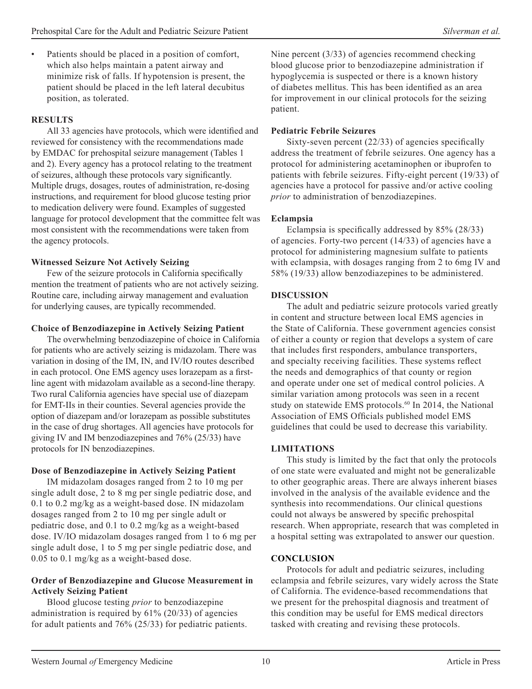Patients should be placed in a position of comfort, which also helps maintain a patent airway and minimize risk of falls. If hypotension is present, the patient should be placed in the left lateral decubitus position, as tolerated.

## **RESULTS**

All 33 agencies have protocols, which were identified and reviewed for consistency with the recommendations made by EMDAC for prehospital seizure management (Tables 1 and 2). Every agency has a protocol relating to the treatment of seizures, although these protocols vary significantly. Multiple drugs, dosages, routes of administration, re-dosing instructions, and requirement for blood glucose testing prior to medication delivery were found. Examples of suggested language for protocol development that the committee felt was most consistent with the recommendations were taken from the agency protocols.

#### **Witnessed Seizure Not Actively Seizing**

Few of the seizure protocols in California specifically mention the treatment of patients who are not actively seizing. Routine care, including airway management and evaluation for underlying causes, are typically recommended.

#### **Choice of Benzodiazepine in Actively Seizing Patient**

The overwhelming benzodiazepine of choice in California for patients who are actively seizing is midazolam. There was variation in dosing of the IM, IN, and IV/IO routes described in each protocol. One EMS agency uses lorazepam as a firstline agent with midazolam available as a second-line therapy. Two rural California agencies have special use of diazepam for EMT-IIs in their counties. Several agencies provide the option of diazepam and/or lorazepam as possible substitutes in the case of drug shortages. All agencies have protocols for giving IV and IM benzodiazepines and 76% (25/33) have protocols for IN benzodiazepines.

#### **Dose of Benzodiazepine in Actively Seizing Patient**

IM midazolam dosages ranged from 2 to 10 mg per single adult dose, 2 to 8 mg per single pediatric dose, and 0.1 to 0.2 mg/kg as a weight-based dose. IN midazolam dosages ranged from 2 to 10 mg per single adult or pediatric dose, and 0.1 to 0.2 mg/kg as a weight-based dose. IV/IO midazolam dosages ranged from 1 to 6 mg per single adult dose, 1 to 5 mg per single pediatric dose, and 0.05 to 0.1 mg/kg as a weight-based dose.

#### **Order of Benzodiazepine and Glucose Measurement in Actively Seizing Patient**

Blood glucose testing *prior* to benzodiazepine administration is required by 61% (20/33) of agencies for adult patients and 76% (25/33) for pediatric patients. Nine percent (3/33) of agencies recommend checking blood glucose prior to benzodiazepine administration if hypoglycemia is suspected or there is a known history of diabetes mellitus. This has been identified as an area for improvement in our clinical protocols for the seizing patient.

## **Pediatric Febrile Seizures**

Sixty-seven percent (22/33) of agencies specifically address the treatment of febrile seizures. One agency has a protocol for administering acetaminophen or ibuprofen to patients with febrile seizures. Fifty-eight percent (19/33) of agencies have a protocol for passive and/or active cooling *prior* to administration of benzodiazepines.

## **Eclampsia**

Eclampsia is specifically addressed by 85% (28/33) of agencies. Forty-two percent (14/33) of agencies have a protocol for administering magnesium sulfate to patients with eclampsia, with dosages ranging from 2 to 6mg IV and 58% (19/33) allow benzodiazepines to be administered.

## **DISCUSSION**

The adult and pediatric seizure protocols varied greatly in content and structure between local EMS agencies in the State of California. These government agencies consist of either a county or region that develops a system of care that includes first responders, ambulance transporters, and specialty receiving facilities. These systems reflect the needs and demographics of that county or region and operate under one set of medical control policies. A similar variation among protocols was seen in a recent study on statewide EMS protocols.<sup>60</sup> In 2014, the National Association of EMS Officials published model EMS guidelines that could be used to decrease this variability.

#### **LIMITATIONS**

This study is limited by the fact that only the protocols of one state were evaluated and might not be generalizable to other geographic areas. There are always inherent biases involved in the analysis of the available evidence and the synthesis into recommendations. Our clinical questions could not always be answered by specific prehospital research. When appropriate, research that was completed in a hospital setting was extrapolated to answer our question.

## **CONCLUSION**

Protocols for adult and pediatric seizures, including eclampsia and febrile seizures, vary widely across the State of California. The evidence-based recommendations that we present for the prehospital diagnosis and treatment of this condition may be useful for EMS medical directors tasked with creating and revising these protocols.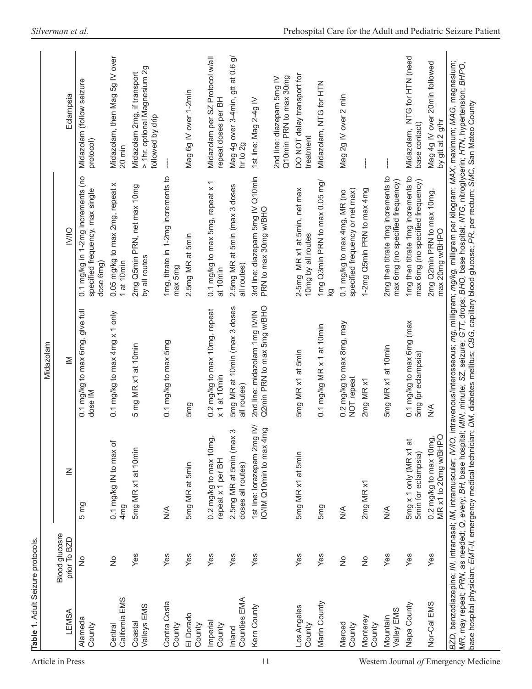| Table 1. Adult Seizure protocols. |                                |                                                                |                                                             |                                                                                                                                                                                                                                                                                                                                                                                                                                          |                                                                               |
|-----------------------------------|--------------------------------|----------------------------------------------------------------|-------------------------------------------------------------|------------------------------------------------------------------------------------------------------------------------------------------------------------------------------------------------------------------------------------------------------------------------------------------------------------------------------------------------------------------------------------------------------------------------------------------|-------------------------------------------------------------------------------|
|                                   |                                |                                                                | Midazolam                                                   |                                                                                                                                                                                                                                                                                                                                                                                                                                          |                                                                               |
| LEMSA                             | Blood glucosre<br>prior To BZD | $\leq$                                                         | $\geq$                                                      | DINI                                                                                                                                                                                                                                                                                                                                                                                                                                     | Eclampsia                                                                     |
| Alameda<br>County                 | $\frac{1}{2}$                  | 5 <sub>mg</sub>                                                | 0.1 mg/kg to max 6mg, give full<br>dose IM                  | 0.1 mg/kg in 1-2mg increments (no<br>specified frequency, max single<br>dose 6mg)                                                                                                                                                                                                                                                                                                                                                        | Midazolam (follow seizure<br>protocol)                                        |
| California EMS<br>Central         | $\frac{1}{2}$                  | 0.1 mg/kg IN to max of<br>4 <sub>m</sub>                       | 0.1 mg/kg to max $4$ mg x 1 only                            | 0.05 mg/kg to max 2mg, repeat x<br>1 at 10min                                                                                                                                                                                                                                                                                                                                                                                            | Midazolam, then Mag 5g IV over<br>20 min                                      |
| Valleys EMS<br>Coastal            | Yes                            | 5mg MR x1 at 10min                                             | 5 mg MR x1 at 10min                                         | 2mg Q5min PRN, net max 10mg<br>by all routes                                                                                                                                                                                                                                                                                                                                                                                             | 1hr, optional Magnesium 2g<br>Midazolam 2mg, if transport<br>followed by drip |
| Contra Costa<br>County            | Yes                            | $\frac{1}{2}$                                                  | 0.1 mg/kg to max 5mg                                        | 1mg, titrate in 1-2mg increments to<br>max 5mg                                                                                                                                                                                                                                                                                                                                                                                           | ł                                                                             |
| El Dorado<br>County               | Yes                            | 5mg MR at 5min                                                 | 5 <sub>mg</sub>                                             | 2.5mg MR at 5min                                                                                                                                                                                                                                                                                                                                                                                                                         | Mag 6g IV over 1-2min                                                         |
| Imperial<br>County                | Yes                            | 0.2 mg/kg to max 10mg,<br>repeat x 1 per BH                    | 0.2 mg/kg to max 10mg, repeat<br>$x 1$ at 10 min            | 0.1 mg/kg to max 5mg, repeat x 1<br>at 10min                                                                                                                                                                                                                                                                                                                                                                                             | Midazolam per SZ Protocol w/all<br>repeat doses per BH                        |
| Counties EMA<br>Inland            | Yes                            | က<br>2.5mg MR at 5min (max<br>doses all routes)                | 5mg MR at 10min (max 3 doses<br>all routes)                 | 2.5mg MR at 5min (max 3 doses<br>all routes)                                                                                                                                                                                                                                                                                                                                                                                             | Mag 4g over 3-4min, gtt at 0.6 g/<br>hr to 2g                                 |
| Kern County                       | Yes                            | 1st line: lorazepam 2mg IV/<br>IO/IM Q10min to max 4mg         | Q2min PRN to max 5mg w/BHO<br>2nd line: midazolam 1mg IV/IN | 3rd line: diazepam 5mg IV Q10min<br>PRN to max 30mg w/BHO                                                                                                                                                                                                                                                                                                                                                                                | 1st line: Mag 2-4g IV                                                         |
|                                   |                                |                                                                |                                                             |                                                                                                                                                                                                                                                                                                                                                                                                                                          | Q10min PRN to max 30mg<br>2nd line: diazepam 5mg IV                           |
| Los Angeles<br>County             | Yes                            | 5mg MR x1 at 5min                                              | 5mg MR x1 at 5min                                           | 2-5mg MR x1 at 5min, net max<br>10mg by all routes                                                                                                                                                                                                                                                                                                                                                                                       | DO NOT delay transport for<br>treatment                                       |
| Marin County                      | Yes                            | 5mg                                                            | $0.1$ mg/kg MR x 1 at 10min                                 | 1mg Q3min PRN to max 0.05 mg/<br>ΔÃ                                                                                                                                                                                                                                                                                                                                                                                                      | Midazolam, NTG for HTN                                                        |
| Merced<br>County                  | $\frac{1}{2}$                  | $\stackrel{\triangleleft}{\geq}$                               | 0.2 mg/kg to max 8mg, may<br>NOT repeat                     | specified frequency or net max)<br>0.1 mg/kg to max 4mg, MR (no                                                                                                                                                                                                                                                                                                                                                                          | Mag 2g IV over 2 min                                                          |
| Monterey<br>County                | $\frac{1}{2}$                  | 2mg MR x1                                                      | 2mg MR x1                                                   | 1-2mg Q5min PRN to max 4mg                                                                                                                                                                                                                                                                                                                                                                                                               |                                                                               |
| Valley EMS<br>Mountain            | Yes                            | $\leq$                                                         | 5mg MR x1 at 10min                                          | 2mg then titrate 1mg increments to<br>max 6mg (no specified frequency)                                                                                                                                                                                                                                                                                                                                                                   |                                                                               |
| Napa County                       | Yes                            | 5mg x 1 only (MR x1 at<br>5min for eclampsia)                  | 0.1 mg/kg to max 6mg (max<br>5mg fpr eclampsia)             | 1mg then titrate 1mg increments to<br>max 6mg (no specified frequency)                                                                                                                                                                                                                                                                                                                                                                   | Midazolam, NTG for HTN (need<br>base contact)                                 |
| Nor-Cal EMS                       | Yes                            | 0.2 mg/kg to max 10mg,<br>MR x1 to 20mg w/BHPO                 | $\frac{4}{2}$                                               | 2mg Q2min PRN to max 10mg,<br>max 20mg w/BHPO                                                                                                                                                                                                                                                                                                                                                                                            | Mag 4g IV over 20min followed<br>by gtt at 2 g/hr                             |
|                                   |                                | BZD, benzodiazepine; IN, intranasal; IM, intramuscular; IV/IO, |                                                             | intravenous/interosseous; mg, miligram; mg/kg, mililgram per kilogram; MAX, maximum; MAG, magnesium;<br>MR, may repeat; PRN, as needed; Q, every; BH, base hospital; M/N, minute; SZ, seizure; GTT, drops; BHO, base hospital; NTG, nitroglycerin; HTN, hypertension; BHPO,<br>base hospital physician; EMT-II, emergency medical technician; DM, diabetes mellitus; CBG, capillary blood glucose; PR, per rectum; SMC, San Mateo County |                                                                               |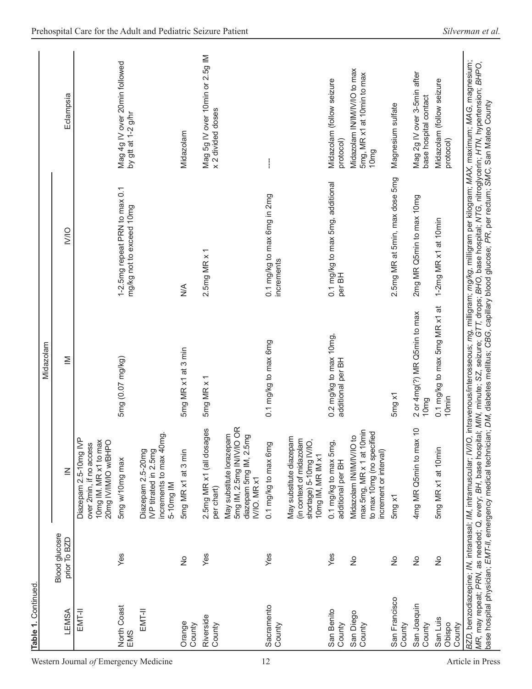| Table 1. Continued           |                            |                                                                                                                              | Midazolam                                   |                                                                                                                                                                                                                                                                                                                                                                                                                                                                                                          |                                                                   |
|------------------------------|----------------------------|------------------------------------------------------------------------------------------------------------------------------|---------------------------------------------|----------------------------------------------------------------------------------------------------------------------------------------------------------------------------------------------------------------------------------------------------------------------------------------------------------------------------------------------------------------------------------------------------------------------------------------------------------------------------------------------------------|-------------------------------------------------------------------|
|                              | <b>Blood glucosre</b>      |                                                                                                                              |                                             |                                                                                                                                                                                                                                                                                                                                                                                                                                                                                                          |                                                                   |
| LEMSA                        | prior To BZD               | $\leq$                                                                                                                       | $\geq$                                      | <b>DI/NI</b>                                                                                                                                                                                                                                                                                                                                                                                                                                                                                             | Eclampsia                                                         |
| EMT-II                       |                            | Diazepam 2.5-10mg IVP<br>over 2min, if no access<br>10mg IM. MR x1 to max<br>20mg IV/IM/IO w/BHPC                            |                                             |                                                                                                                                                                                                                                                                                                                                                                                                                                                                                                          |                                                                   |
| North Coast<br>EMS           | Yes                        | 5mg w/10mg max                                                                                                               | 5mg (0.07 mg/kg)                            | 1-2.5mg repeat PRN to max 0.1<br>mg/kg not to exceed 10mg                                                                                                                                                                                                                                                                                                                                                                                                                                                | Mag 4g IV over 20min followed<br>by gtt at 1-2 g/hr               |
| EMT-II                       |                            | increments to max 40mg.<br>IVP titrated in 2.5mg<br>Diazepam 2.5-20mg<br>5-10mg IM                                           |                                             |                                                                                                                                                                                                                                                                                                                                                                                                                                                                                                          |                                                                   |
| Orange<br>County             | $\frac{1}{2}$              | 5mg MR x1 at 3 min                                                                                                           | 5mg MR x1 at 3 min                          | ⋚                                                                                                                                                                                                                                                                                                                                                                                                                                                                                                        | Midazolam                                                         |
| Riverside<br>County          | Yes                        | 2.5mg MR x1 (all dosages<br>per chart)                                                                                       | 5mg MR x 1                                  | $\overline{ }$<br>2.5mg MR x                                                                                                                                                                                                                                                                                                                                                                                                                                                                             | Mag 5g IV over 10min or 2.5g IM<br>x 2 divided doses              |
|                              |                            | <b>OR</b><br>May substitute lorazepam<br>ഊ<br>5mg IM, 2.5mg IN/IV/IO<br>diazepam 5mg IM, 2.5m<br>IV/IO. MR x1                |                                             |                                                                                                                                                                                                                                                                                                                                                                                                                                                                                                          |                                                                   |
| Sacramento<br>County         | Yes                        | 0.1 mg/kg to max 6mg                                                                                                         | 0.1 mg/kg to max 6mg                        | 0.1 mg/kg to max 6mg in 2mg<br>increments                                                                                                                                                                                                                                                                                                                                                                                                                                                                |                                                                   |
|                              |                            | May substitute diazepam<br>(in context of midazolam<br>shortage) 5-10mg IV/IO,<br>10mg IM, MR IM x1                          |                                             |                                                                                                                                                                                                                                                                                                                                                                                                                                                                                                          |                                                                   |
| San Benito<br>County         | Yes                        | 0.1 mg/kg to max 5mg,<br>additional per BH                                                                                   | 0.2 mg/kg to max 10mg,<br>additional per BH | 0.1 mg/kg to max 5mg, additional<br>per BH                                                                                                                                                                                                                                                                                                                                                                                                                                                               | Midazolam (follow seizure<br>protocol)                            |
| San Diego<br>County          | $\frac{0}{2}$              | max 5mg, MR x 1 at 10min<br>to max 10mg (no specified<br>$\overline{5}$<br>Midazolam IN/IM/IV/IO t<br>increment or interval) |                                             |                                                                                                                                                                                                                                                                                                                                                                                                                                                                                                          | Midazolam IN/IM/V/VO to max<br>5mg, MR x1 at 10min to max<br>10mg |
| San Francisco<br>County      | $\frac{1}{2}$              | 5mg x1                                                                                                                       | 5mg x1                                      | 2.5mg MR at 5min, max dose 5mg                                                                                                                                                                                                                                                                                                                                                                                                                                                                           | Magnesium sulfate                                                 |
| San Joaquin<br>County        | $\stackrel{\circ}{\simeq}$ | 4mg MR Q5min to max 10                                                                                                       | 2 or 4mg(?) MR Q5min to max<br>10mg         | 2mg MR Q5min to max 10mg                                                                                                                                                                                                                                                                                                                                                                                                                                                                                 | Mag 2g IV over 3-5min after<br>base hospital contact              |
| San Luis<br>Obispo<br>County | $\frac{1}{2}$              | 5mg MR x1 at 10min                                                                                                           | 0.1 mg/kg to max 5mg MR x1 at<br>10min      | 1-2mg MR x1 at 10min                                                                                                                                                                                                                                                                                                                                                                                                                                                                                     | Midazolam (follow seizure<br>protocol)                            |
|                              |                            |                                                                                                                              |                                             | BZD, benzodiazepine; IN, intranasal; IM, intramuscular; IV/IO, intravenous/interosseous; mg, milligram; mg/kg, milligram per kilogram; MAX, maximum; MAG, magnesium;<br>MR, may repeat; PRN, as needed; Q, every; BH, base hospital; M/N, minute; SZ, seizure; GTT, drops; BHO, base hospital; NTG, nitroglycerin; HTN, hypertension; BHPO,<br>base hospital physician; EMT-II, emergency medical technician; DM, diabetes mellitus; CBG, capillary blood glucose; PR, per rectum; SMC, San Mateo County |                                                                   |
|                              |                            |                                                                                                                              |                                             |                                                                                                                                                                                                                                                                                                                                                                                                                                                                                                          |                                                                   |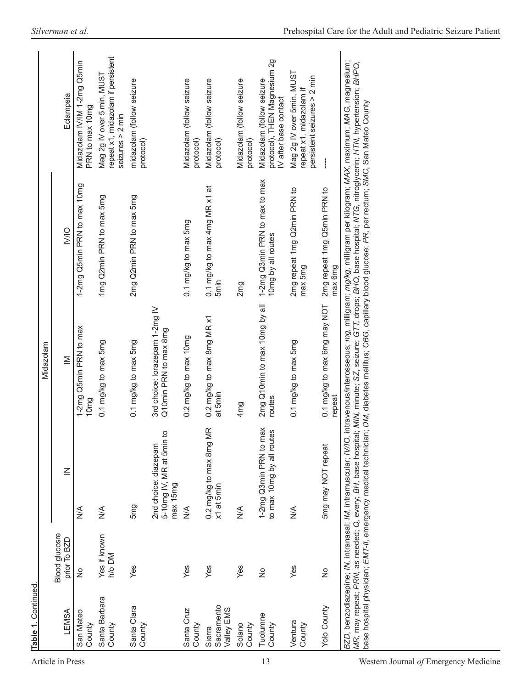| <b>Table 1. Continued</b>          |                                       |                                                                       |                                                         |                                                                                                                                                                                                                                                                                                                                                                                                                                                                                                                          |                                                                                        |
|------------------------------------|---------------------------------------|-----------------------------------------------------------------------|---------------------------------------------------------|--------------------------------------------------------------------------------------------------------------------------------------------------------------------------------------------------------------------------------------------------------------------------------------------------------------------------------------------------------------------------------------------------------------------------------------------------------------------------------------------------------------------------|----------------------------------------------------------------------------------------|
|                                    |                                       |                                                                       | Midazolam                                               |                                                                                                                                                                                                                                                                                                                                                                                                                                                                                                                          |                                                                                        |
| LEMSA                              | <b>Blood</b> glucosre<br>prior To BZD | $\leq$                                                                | $\geq$                                                  | <b>DI/NI</b>                                                                                                                                                                                                                                                                                                                                                                                                                                                                                                             | Eclampsia                                                                              |
| San Mateo<br>County                | $\frac{1}{2}$                         | $\stackrel{\leq}{\geq}$                                               | 1-2mg Q5min PRN to max<br>10 <sub>mg</sub>              | 1-2mg Q5min PRN to max 10mg                                                                                                                                                                                                                                                                                                                                                                                                                                                                                              | Midazolam IV/IM 1-2mg Q5min<br>PRN to max 10mg                                         |
| Santa Barbara<br>County            | Yes if known<br>h/o DM                | $\stackrel{\leq}{\geq}$                                               | 0.1 mg/kg to max 5mg                                    | 1mg Q2min PRN to max 5mg                                                                                                                                                                                                                                                                                                                                                                                                                                                                                                 | repeat x1, midazolam if persistent<br>Mag 2g IV over 5 min, MUST<br>seizures $>$ 2 min |
| Santa Clara<br>County              | Yes                                   | 5mg                                                                   | 0.1 mg/kg to max 5mg                                    | 2mg Q2min PRN to max 5mg                                                                                                                                                                                                                                                                                                                                                                                                                                                                                                 | midazolam (follow seizure<br>protocol)                                                 |
|                                    |                                       | <u>ุ</u><br>5-10mg IV, MR at 5min<br>2nd choice: diazepam<br>max 15mg | 3rd choice: lorazepam 1-2mg IV<br>Q10min PRN to max 8mg |                                                                                                                                                                                                                                                                                                                                                                                                                                                                                                                          |                                                                                        |
| Santa Cruz<br>County               | Yes                                   | $\leq$                                                                | 0.2 mg/kg to max 10mg                                   | 0.1 mg/kg to max 5mg                                                                                                                                                                                                                                                                                                                                                                                                                                                                                                     | Midazolam (follow seizure<br>protocol)                                                 |
| Sacramento<br>Valley EMS<br>Sierra | Yes                                   | <b>MR</b><br>0.2 mg/kg to max 8mg<br>x1 at 5min                       | 0.2 mg/kg to max 8mg MR x1<br>at 5min                   | 0.1 mg/kg to max 4mg MR x1 at<br>5 <sub>min</sub>                                                                                                                                                                                                                                                                                                                                                                                                                                                                        | Midazolam (follow seizure<br>protocol)                                                 |
| Solano<br>County                   | Yes                                   | $\frac{1}{2}$                                                         | 4mg                                                     | 2mg                                                                                                                                                                                                                                                                                                                                                                                                                                                                                                                      | Midazolam (follow seizure<br>protocol)                                                 |
| Tuolumne<br>County                 | $\frac{1}{2}$                         | max<br>to max 10mg by all routes<br>1-2mg Q3min PRN to I              | 2mg Q10min to max 10mg by all<br>routes                 | 1-2mg Q3min PRN to max to max<br>10mg by all routes                                                                                                                                                                                                                                                                                                                                                                                                                                                                      | protocol), THEN Magnesium 2g<br>Midazolam (follow seizure<br>IV after base contact     |
| Ventura<br>County                  | Yes                                   | $\frac{1}{2}$                                                         | 0.1 mg/kg to max 5mg                                    | 2mg repeat 1mg Q2min PRN to<br>max 5mg                                                                                                                                                                                                                                                                                                                                                                                                                                                                                   | Mag 2g IV over 5min, MUST<br>persistent seizures > 2 min<br>repeat x1, midazolam if    |
| <b>Yolo County</b>                 | $\frac{1}{2}$                         | 5mg may NOT repeat                                                    | 0.1 mg/kg to max 6mg may NOT<br>repeat                  | 2mg repeat 1mg Q5min PRN to<br>max 6mg                                                                                                                                                                                                                                                                                                                                                                                                                                                                                   |                                                                                        |
|                                    |                                       |                                                                       |                                                         | BZD, benzodiazepine; IN, intranasal; IM, intramuscular; IV/IO, intravenous/interosseous; <i>mg</i> , milligram; <i>mg/kg</i> , milligram per kilogram; MAX, maximum; MAG, magnesium;<br>MR, may repeat; PRN, as needed; Q, every; BH, base hospital; MIN, minute; SZ, seizure; GTT, drops; BHO, base hospital; NTG, nitroglycerin; HTN, hypertension; BHPO,<br>base hospital physician; EMT-II, emergency medical technician; DM, diabetes mellitus; CBG, capillary blood glucose; PR, per rectum; SMC, San Mateo County |                                                                                        |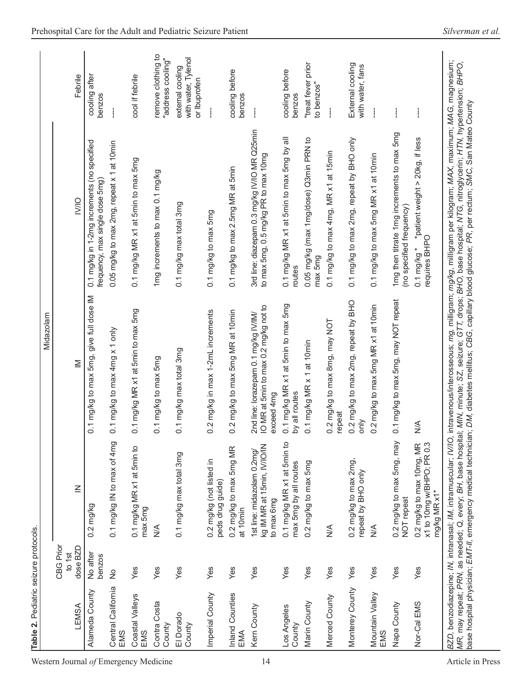| Table 2. Pediatric seizure protocols. |                                    |                                                                         | Midazolam                                                                                  |                                                                                                                                                                                                                                                                                                                                                                                                                                                                                                          |                                                         |
|---------------------------------------|------------------------------------|-------------------------------------------------------------------------|--------------------------------------------------------------------------------------------|----------------------------------------------------------------------------------------------------------------------------------------------------------------------------------------------------------------------------------------------------------------------------------------------------------------------------------------------------------------------------------------------------------------------------------------------------------------------------------------------------------|---------------------------------------------------------|
|                                       |                                    |                                                                         |                                                                                            |                                                                                                                                                                                                                                                                                                                                                                                                                                                                                                          |                                                         |
|                                       | <b>CBG Prior</b><br>$\frac{1}{20}$ |                                                                         |                                                                                            |                                                                                                                                                                                                                                                                                                                                                                                                                                                                                                          |                                                         |
| LEMSA                                 | dose BZD                           | $\leq$                                                                  | ≧                                                                                          | <b>DIVID</b>                                                                                                                                                                                                                                                                                                                                                                                                                                                                                             | Febrile                                                 |
| Alameda County                        | No after<br>benzos                 | $0.2$ mg/kg                                                             | 0.1 mg/kg to max 5mg, give full dose IM                                                    | 0.1 mg/kg in 1-2mg increments (no specified<br>frequency, max single dose 5mg)                                                                                                                                                                                                                                                                                                                                                                                                                           | cooling after<br>benzos                                 |
| Central California<br>EMS             | $\frac{1}{2}$                      | 0.1 mg/kg IN to max of 4mg                                              | 0.1 mg/kg to max $4$ mg x 1 only                                                           | 0.05 mg/kg to max 2mg, repeat x 1 at 10min                                                                                                                                                                                                                                                                                                                                                                                                                                                               |                                                         |
| Coastal Valleys<br>EMS                | Yes                                | 0.1 mg/kg MR x1 at 5min to<br>max 5mg                                   | 0.1 mg/kg MR x1 at 5min to max 5mg                                                         | 0.1 mg/kg MR x1 at 5min to max 5mg                                                                                                                                                                                                                                                                                                                                                                                                                                                                       | cool if febrile                                         |
| Contra Costa<br>County                | Yes                                | $\stackrel{\triangleleft}{\geq}$                                        | 0.1 mg/kg to max 5mg                                                                       | 1mg increments to max 0.1 mg/kg                                                                                                                                                                                                                                                                                                                                                                                                                                                                          | remove clothing to<br>"address cooling"                 |
| El Dorado<br>County                   | Yes                                | 0.1 mg/kg max total 3mg                                                 | 0.1 mg/kg max total 3mg                                                                    | 0.1 mg/kg max total 3mg                                                                                                                                                                                                                                                                                                                                                                                                                                                                                  | with water, Tylenol<br>external cooling<br>or Ibuprofen |
| Imperial County                       | Yes                                | 0.2 mg/kg (not listed in<br>peds drug guide)                            | 0.2 mg/kg in max 1-2mL increments                                                          | 0.1 mg/kg to max 5mg                                                                                                                                                                                                                                                                                                                                                                                                                                                                                     |                                                         |
| Inland Counties<br>EMA                | Yes                                | 0.2 mg/kg to max 5mg MR<br>at 10min                                     | 0.2 mg/kg to max 5mg MR at 10min                                                           | 0.1 mg/kg to max 2.5mg MR at 5min                                                                                                                                                                                                                                                                                                                                                                                                                                                                        | cooling before<br><b>benzos</b>                         |
| Kern County                           | Yes                                | kg IM MR at 15min, IV/IO/IN<br>1st line: midazolam 0.2mg/<br>to max 6mg | IO MR at 5min to max 0.2 mg/kg not to<br>2nd line: lorazepam 0.1 mg/kg IV/IM<br>exceed 4mg | 3rd line: diazepam 0.3 mg/kg IV/IO MR Q25min<br>to max 5mg, 0.5 mg/kg PR to max 10mg                                                                                                                                                                                                                                                                                                                                                                                                                     |                                                         |
| Los Angeles<br>County                 | Yes                                | 0.1 mg/kg MR x1 at 5min to<br>max 5mg by all routes                     | 0.1 mg/kg MR x1 at 5min to max 5mg<br>by all routes                                        | 0.1 mg/kg MR x1 at 5min to max 5mg by all<br>routes                                                                                                                                                                                                                                                                                                                                                                                                                                                      | cooling before<br>benzos                                |
| Marin County                          | Yes                                | 0.2 mg/kg to max 5mg                                                    | $0.1$ mg/kg MR x 1 at 10min                                                                | 0.05 mg/kg (max 1mg/dose) Q3min PRN to<br>max 5mg                                                                                                                                                                                                                                                                                                                                                                                                                                                        | "treat fever prior<br>to benzos"                        |
| Merced County                         | Yes                                | $\frac{1}{2}$                                                           | 0.2 mg/kg to max 8mg, may NOT<br>repeat                                                    | 0.1 mg/kg to max 4mg, MR x1 at 15min                                                                                                                                                                                                                                                                                                                                                                                                                                                                     |                                                         |
| Monterey County                       | Yes                                | 0.2 mg/kg to max 2mg,<br>repeat by BHO only                             | 0.2 mg/kg to max 2mg, repeat by BHO<br>$\frac{1}{2}$                                       | 0.1 mg/kg to max 2mg, repeat by BHO only                                                                                                                                                                                                                                                                                                                                                                                                                                                                 | External cooling<br>with water, fans                    |
| Mountain Valley<br>EMS                | Yes                                | $\frac{1}{2}$                                                           | 0.2 mg/kg to max 5mg MR x1 at 10min                                                        | 0.1 mg/kg to max 5mg MR x1 at 10min                                                                                                                                                                                                                                                                                                                                                                                                                                                                      |                                                         |
| Napa County                           | Yes                                | 0.2 mg/kg to max 5mg, may<br>NOT repeat                                 | 0.1 mg/kg to max 5mg, may NOT repeat                                                       | 1mg then titrate 1mg increments to max 5mg<br>(no specified frequency)                                                                                                                                                                                                                                                                                                                                                                                                                                   |                                                         |
| Nor-Cal EMS                           | Yes                                | x1 to 10mg w/BHPO; PR 0.3<br>0.2 mg/kg to max 10mg, MR<br>mg/kg MR x1*  | $\frac{1}{2}$                                                                              | *patient weight > 20kg, if less<br>requires BHPO<br>$0.1$ mg/kg $*$                                                                                                                                                                                                                                                                                                                                                                                                                                      |                                                         |
|                                       |                                    |                                                                         |                                                                                            | BZD, benzodiazepine; IN, intranasal; IM, intramuscular; IV/IO, intravenous/interosseous; mg, milligram; mg/kg, milligram per kilogram; MAX, maximum; MAG, magnesium;<br>MR, may repeat; PRN, as needed; Q, every; BH, base hospital; MIN, minute; SZ, seizure; GTT, drops; BHO, base hospital; NTG, nitroglycerin; HTN, hypertension; BHPO,<br>base hospital physician; EMT-II, emergency medical technician; DM, diabetes mellitus; CBG, capillary blood glucose; PR, per rectum; SMC, San Mateo County |                                                         |

Western Journal *of* Emergency Medicine 14 Article in Press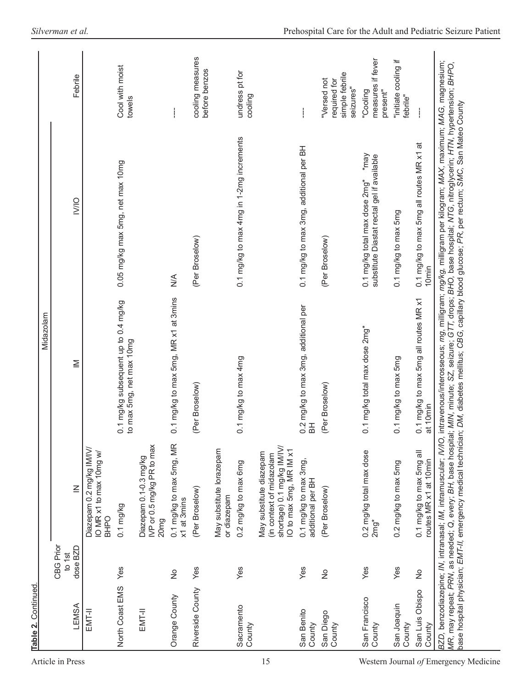| Table 2. Continued        |                                   |                                                                                                              |                                                                  |                                                                                                                                                                                                                                                                                                                                                                                                                                           |                                                            |
|---------------------------|-----------------------------------|--------------------------------------------------------------------------------------------------------------|------------------------------------------------------------------|-------------------------------------------------------------------------------------------------------------------------------------------------------------------------------------------------------------------------------------------------------------------------------------------------------------------------------------------------------------------------------------------------------------------------------------------|------------------------------------------------------------|
|                           |                                   |                                                                                                              | Midazolam                                                        |                                                                                                                                                                                                                                                                                                                                                                                                                                           |                                                            |
|                           | <b>CBG Prior</b><br>$\frac{1}{2}$ |                                                                                                              |                                                                  |                                                                                                                                                                                                                                                                                                                                                                                                                                           |                                                            |
| LEMSA                     | dose BZD                          | $\leq$                                                                                                       | ≧                                                                | <b>DIMI</b>                                                                                                                                                                                                                                                                                                                                                                                                                               | Febrile                                                    |
| EMT-II                    |                                   | Diazepam 0.2 mg/kg IM/IV/<br>IO MR x1 to max 10mg w/<br><b>BHPO</b>                                          |                                                                  |                                                                                                                                                                                                                                                                                                                                                                                                                                           |                                                            |
| North Coast EMS           | Yes                               | $0.1$ mg/kg                                                                                                  | 0.1 mg/kg subsequent up to 0.4 mg/kg<br>to max 5mg, net max 10mg | 0.05 mg/kg max 5mg, net max 10mg                                                                                                                                                                                                                                                                                                                                                                                                          | Cool with moist<br>towels                                  |
| EMT-II                    |                                   | IVP or 0.5 mg/kg PR to max<br>Diazepam 0.1-0.3 mg/kg<br>20mg                                                 |                                                                  |                                                                                                                                                                                                                                                                                                                                                                                                                                           |                                                            |
| Orange County             | $\stackrel{\circ}{\simeq}$        | 0.1 mg/kg to max 5mg, MR<br>x1 at 3mins                                                                      | 0.1 mg/kg to max 5mg, MR x1 at 3mins                             | $\frac{4}{5}$                                                                                                                                                                                                                                                                                                                                                                                                                             |                                                            |
| Riverside County          | Yes                               | (Per Broselow)                                                                                               | (Per Broselow)                                                   | (Per Broselow)                                                                                                                                                                                                                                                                                                                                                                                                                            | cooling measures<br>before benzos                          |
|                           |                                   | May substitute lorazepam<br>or diazepam                                                                      |                                                                  |                                                                                                                                                                                                                                                                                                                                                                                                                                           |                                                            |
| Sacramento<br>County      | Yes                               | 0.2 mg/kg to max 6mg                                                                                         | 0.1 mg/kg to max 4mg                                             | 0.1 mg/kg to max 4mg in 1-2mg increments                                                                                                                                                                                                                                                                                                                                                                                                  | undress pt for<br>cooling                                  |
|                           |                                   | shortage) 0.1 mg/kg IM/IV/<br>IO to max 5mg, MR IM x1<br>May substitute diazepam<br>(in context of midazolam |                                                                  |                                                                                                                                                                                                                                                                                                                                                                                                                                           |                                                            |
| San Benito<br>County      | Yes                               | 0.1 mg/kg to max 3mg,<br>additional per BH                                                                   | 0.2 mg/kg to max 3mg, additional per<br>$\Xi$                    | 0.1 mg/kg to max 3mg, additional per BH                                                                                                                                                                                                                                                                                                                                                                                                   |                                                            |
| San Diego<br>County       | $\frac{1}{2}$                     | (Per Broselow)                                                                                               | (Per Broselow)                                                   | (Per Broselow)                                                                                                                                                                                                                                                                                                                                                                                                                            | simple febrile<br>"Versed not<br>required for<br>seizures" |
| San Francisco<br>County   | Yes                               | 0.2 mg/kg total max dose<br>2mg*                                                                             | 0.1 mg/kg total max dose 2mg*                                    | *may<br>substitute Diastat rectal gel if available<br>0.1 mg/kg total max dose 2mg*                                                                                                                                                                                                                                                                                                                                                       | measures if fever<br>"Cooling<br>present"                  |
| San Joaquin<br>County     | Yes                               | 0.2 mg/kg to max 5mg                                                                                         | 0.1 mg/kg to max 5mg                                             | 0.1 mg/kg to max 5mg                                                                                                                                                                                                                                                                                                                                                                                                                      | "initiate cooling if<br>febrile"                           |
| San Luis Obispo<br>County | $\frac{1}{2}$                     | 0.1 mg/kg to max 5mg all<br>routes MR x1 at 10min                                                            | 0.1 mg/kg to max 5mg all routes MR x1<br>at 10min                | 0.1 mg/kg to max 5mg all routes MR x1 at<br>10 <sub>min</sub>                                                                                                                                                                                                                                                                                                                                                                             |                                                            |
|                           |                                   | BZD, benzodiazepine; IN, intranasal; IM, intramuscular; IV/IO,                                               |                                                                  | intravenous/interosseous; mg, milligram; mg/kg, milligram per kilogram; MAX, maximum; MAG, magnesium;<br>MR, may repeat; PRN, as needed; Q, every; BH, base hospital; MIN, minute; SZ, seizure; GTT, drops; BHO, base hospital; NTG, nitroglycerin; HTN, hypertension; BHPO,<br>base hospital physician; EMT-II, emergency medical technician; DM, diabetes mellitus; CBG, capillary blood glucose; PR, per rectum; SMC, San Mateo County |                                                            |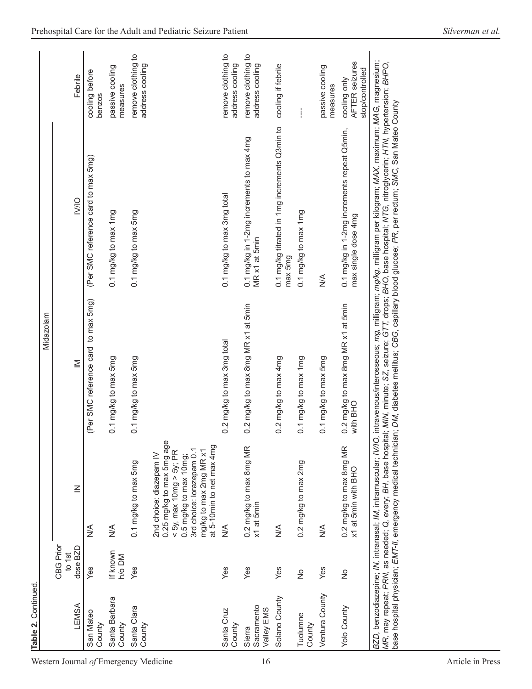| Table 2. Continued                 |                                   |                                                                                                                                                                                                  |                                                |                                                                                                                                                                                                                                                                                                                                                                                                                                                                                                                                        |                                                   |
|------------------------------------|-----------------------------------|--------------------------------------------------------------------------------------------------------------------------------------------------------------------------------------------------|------------------------------------------------|----------------------------------------------------------------------------------------------------------------------------------------------------------------------------------------------------------------------------------------------------------------------------------------------------------------------------------------------------------------------------------------------------------------------------------------------------------------------------------------------------------------------------------------|---------------------------------------------------|
|                                    |                                   |                                                                                                                                                                                                  | Midazolam                                      |                                                                                                                                                                                                                                                                                                                                                                                                                                                                                                                                        |                                                   |
|                                    | <b>CBG Prior</b><br>$\frac{1}{2}$ |                                                                                                                                                                                                  |                                                |                                                                                                                                                                                                                                                                                                                                                                                                                                                                                                                                        |                                                   |
| LEMSA                              | dose BZD                          | $\leq$                                                                                                                                                                                           | $\geq$                                         | <b>NVIIO</b>                                                                                                                                                                                                                                                                                                                                                                                                                                                                                                                           | Febrile                                           |
| San Mateo<br>County                | Yes                               | $\frac{4}{2}$                                                                                                                                                                                    | (Per SMC reference card to max 5mg)            | (Per SMC reference card to max 5mg)                                                                                                                                                                                                                                                                                                                                                                                                                                                                                                    | cooling before<br><b>benzos</b>                   |
| Santa Barbara<br>County            | If known<br>No DM                 | $\frac{1}{2}$                                                                                                                                                                                    | 0.1 mg/kg to max 5mg                           | $0.1$ mg/kg to max 1mg                                                                                                                                                                                                                                                                                                                                                                                                                                                                                                                 | passive cooling<br>measures                       |
| Santa Clara<br>County              | Yes                               | 0.1 mg/kg to max 5mg                                                                                                                                                                             | 0.1 mg/kg to max 5mg                           | 0.1 mg/kg to max 5mg                                                                                                                                                                                                                                                                                                                                                                                                                                                                                                                   | remove clothing to<br>address cooling             |
|                                    |                                   | 0.25 mg/kg to max 5mg age<br>at 5-10min to net max 4mg<br>$<$ 5y, max 10mg $>$ 5y; PR<br>mg/kg to max 2mg MR x1<br>3rd choice: lorazepam 0.<br>2nd choice: diazepam IV<br>0.5 mg/kg to max 10mg; |                                                |                                                                                                                                                                                                                                                                                                                                                                                                                                                                                                                                        |                                                   |
| Santa Cruz<br>County               | Yes                               | $\frac{1}{2}$                                                                                                                                                                                    | 0.2 mg/kg to max 3mg total                     | 0.1 mg/kg to max 3mg total                                                                                                                                                                                                                                                                                                                                                                                                                                                                                                             | remove clothing to<br>address cooling             |
| Sacramento<br>Valley EMS<br>Sierra | Yes                               | 0.2 mg/kg to max 8mg MR<br>x1 at 5min                                                                                                                                                            | 0.2 mg/kg to max 8mg MR x1 at 5min             | 0.1 mg/kg in 1-2mg increments to max 4mg<br>MR x1 at 5min                                                                                                                                                                                                                                                                                                                                                                                                                                                                              | remove clothing to<br>address cooling             |
| Solano County                      | Yes                               | $\frac{1}{2}$                                                                                                                                                                                    | 0.2 mg/kg to max 4mg                           | 0.1 mg/kg titrated in 1 mg increments Q3min to<br>max 5mg                                                                                                                                                                                                                                                                                                                                                                                                                                                                              | cooling if febrile                                |
| Tuolumne<br>County                 | $\frac{1}{2}$                     | 0.2 mg/kg to max 2mg                                                                                                                                                                             | 0.1 mg/kg to max 1mg                           | 0.1 mg/kg to max 1mg                                                                                                                                                                                                                                                                                                                                                                                                                                                                                                                   | ļ                                                 |
| Ventura County                     | Yes                               | $\frac{1}{2}$                                                                                                                                                                                    | 0.1 mg/kg to max 5mg                           | $\frac{1}{2}$                                                                                                                                                                                                                                                                                                                                                                                                                                                                                                                          | passive cooling<br>measures                       |
| Yolo County                        | $\frac{1}{2}$                     | 0.2 mg/kg to max 8mg MR<br>x1 at 5min with BHO                                                                                                                                                   | 0.2 mg/kg to max 8mg MR x1 at 5min<br>with BHO | 0.1 mg/kg in 1-2mg increments repeat Q5min,<br>max single dose 4mg                                                                                                                                                                                                                                                                                                                                                                                                                                                                     | cooling only<br>AFTER seizures<br>stop/controlled |
|                                    |                                   |                                                                                                                                                                                                  |                                                | BZD, benzodiazepine; IN, intranasal; IM, intramuscular; IV/IO, intravenous/interosseous; mg, milligram; mg/kg, milligram per kilogram; MAX, maximum; MAG, magnesium;<br>MR, may repeat; PRN, as needed; Q, every; <i>BH,</i> base hospital; <i>MIN, minute; SZ, seizure; GTT,</i> drops; <i>BHO</i> , base hospital; NTG, nitroglycerin; HTN, hypertension; <i>BHPO</i> ,<br>base hospital physician; EMT-II, emergency medical technician; DM, diabetes mellitus; CBG, capillary blood glucose; PR, per rectum; SMC, San Mateo County |                                                   |

Western Journal of Emergency Medicine 16 16 Article in Press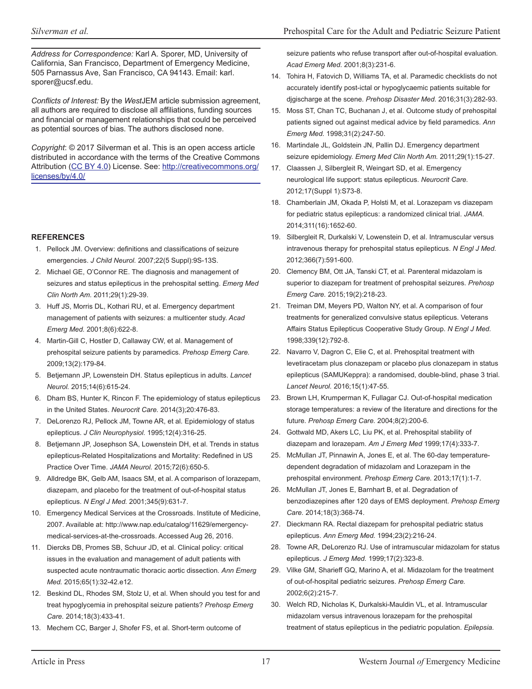*Address for Correspondence:* Karl A. Sporer, MD, University of California, San Francisco, Department of Emergency Medicine, 505 Parnassus Ave, San Francisco, CA 94143. Email: karl. sporer@ucsf.edu.

*Conflicts of Interest:* By the *West*JEM article submission agreement, all authors are required to disclose all affiliations, funding sources and financial or management relationships that could be perceived as potential sources of bias. The authors disclosed none.

*Copyright*: © 2017 Silverman et al. This is an open access article distributed in accordance with the terms of the Creative Commons Attribution (CC BY 4.0) License. See: http://creativecommons.org/ licenses/by/4.0/

#### **REFERENCES**

- 1. Pellock JM. Overview: definitions and classifications of seizure emergencies. *J Child Neurol.* 2007;22(5 Suppl):9S-13S.
- 2. Michael GE, O'Connor RE. The diagnosis and management of seizures and status epilepticus in the prehospital setting. *Emerg Med Clin North Am.* 2011;29(1):29-39.
- 3. Huff JS, Morris DL, Kothari RU, et al. Emergency department management of patients with seizures: a multicenter study. *Acad Emerg Med.* 2001;8(6):622-8.
- 4. Martin-Gill C, Hostler D, Callaway CW, et al. Management of prehospital seizure patients by paramedics. *Prehosp Emerg Care.* 2009;13(2):179-84.
- 5. Betjemann JP, Lowenstein DH. Status epilepticus in adults. *Lancet Neurol.* 2015;14(6):615-24.
- 6. Dham BS, Hunter K, Rincon F. The epidemiology of status epilepticus in the United States. *Neurocrit Care.* 2014(3);20:476-83.
- 7. DeLorenzo RJ, Pellock JM, Towne AR, et al. Epidemiology of status epilepticus. *J Clin Neurophysiol.* 1995;12(4):316-25.
- 8. Betjemann JP, Josephson SA, Lowenstein DH, et al. Trends in status epilepticus-Related Hospitalizations and Mortality: Redefined in US Practice Over Time. *JAMA Neurol.* 2015;72(6):650-5.
- 9. Alldredge BK, Gelb AM, Isaacs SM, et al. A comparison of lorazepam, diazepam, and placebo for the treatment of out-of-hospital status epilepticus. *N Engl J Med.* 2001;345(9):631-7.
- 10. Emergency Medical Services at the Crossroads. Institute of Medicine, 2007. Available at: [http://www.nap.edu/catalog/11629/emergency](http://www.nap.edu/catalog/11629/emergency-medical-services-at-the-crossroads)[medical-services-at-the-crossroads](http://www.nap.edu/catalog/11629/emergency-medical-services-at-the-crossroads). Accessed Aug 26, 2016.
- 11. Diercks DB, Promes SB, Schuur JD, et al. Clinical policy: critical issues in the evaluation and management of adult patients with suspected acute nontraumatic thoracic aortic dissection. *Ann Emerg Med.* 2015;65(1):32-42.e12.
- 12. Beskind DL, Rhodes SM, Stolz U, et al. When should you test for and treat hypoglycemia in prehospital seizure patients? *Prehosp Emerg Care.* 2014;18(3):433-41.
- 13. Mechem CC, Barger J, Shofer FS, et al. Short-term outcome of

seizure patients who refuse transport after out-of-hospital evaluation. *Acad Emerg Med.* 2001;8(3):231-6.

- 14. Tohira H, Fatovich D, Williams TA, et al. Paramedic checklists do not accurately identify post-ictal or hypoglycaemic patients suitable for djgischarge at the scene. *Prehosp Disaster Med.* 2016;31(3):282-93.
- 15. Moss ST, Chan TC, Buchanan J, et al. Outcome study of prehospital patients signed out against medical advice by field paramedics. *Ann Emerg Med.* 1998;31(2):247-50.
- 16. Martindale JL, Goldstein JN, Pallin DJ. Emergency department seizure epidemiology. *Emerg Med Clin North Am.* 2011;29(1):15-27.
- 17. Claassen J, Silbergleit R, Weingart SD, et al. Emergency neurological life support: status epilepticus. *Neurocrit Care.* 2012;17(Suppl 1):S73-8.
- 18. Chamberlain JM, Okada P, Holsti M, et al. Lorazepam vs diazepam for pediatric status epilepticus: a randomized clinical trial. *JAMA.* 2014;311(16):1652-60.
- 19. Silbergleit R, Durkalski V, Lowenstein D, et al. Intramuscular versus intravenous therapy for prehospital status epilepticus. *N Engl J Med.* 2012;366(7):591-600.
- 20. Clemency BM, Ott JA, Tanski CT, et al. Parenteral midazolam is superior to diazepam for treatment of prehospital seizures. *Prehosp Emerg Care.* 2015;19(2):218-23.
- 21. Treiman DM, Meyers PD, Walton NY, et al. A comparison of four treatments for generalized convulsive status epilepticus. Veterans Affairs Status Epilepticus Cooperative Study Group. *N Engl J Med.* 1998;339(12):792-8.
- 22. Navarro V, Dagron C, Elie C, et al. Prehospital treatment with levetiracetam plus clonazepam or placebo plus clonazepam in status epilepticus (SAMUKeppra): a randomised, double-blind, phase 3 trial. *Lancet Neurol.* 2016;15(1):47-55.
- 23. Brown LH, Krumperman K, Fullagar CJ. Out-of-hospital medication storage temperatures: a review of the literature and directions for the future. *Prehosp Emerg Care.* 2004;8(2):200-6.
- 24. Gottwald MD, Akers LC, Liu PK, et al. Prehospital stability of diazepam and lorazepam. *Am J Emerg Med* 1999;17(4):333-7.
- 25. McMullan JT, Pinnawin A, Jones E, et al. The 60-day temperaturedependent degradation of midazolam and Lorazepam in the prehospital environment. *Prehosp Emerg Care.* 2013;17(1):1-7.
- 26. McMullan JT, Jones E, Barnhart B, et al. Degradation of benzodiazepines after 120 days of EMS deployment. *Prehosp Emerg Care.* 2014;18(3):368-74.
- 27. Dieckmann RA. Rectal diazepam for prehospital pediatric status epilepticus. *Ann Emerg Med.* 1994;23(2):216-24.
- 28. Towne AR, DeLorenzo RJ. Use of intramuscular midazolam for status epilepticus. *J Emerg Med.* 1999;17(2):323-8.
- 29. Vilke GM, Sharieff GQ, Marino A, et al. Midazolam for the treatment of out-of-hospital pediatric seizures. *Prehosp Emerg Care.* 2002;6(2):215-7.
- 30. Welch RD, Nicholas K, Durkalski-Mauldin VL, et al. Intramuscular midazolam versus intravenous lorazepam for the prehospital treatment of status epilepticus in the pediatric population. *Epilepsia.*